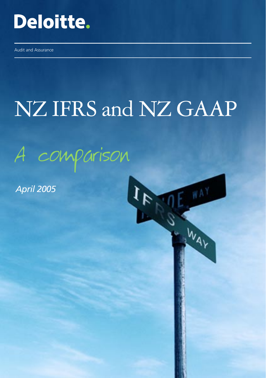

Audit and Assurance

# NZ IFRS and NZ GAAP

WAY

WAY

A comparison

*April 2005*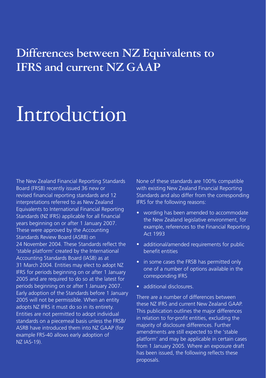## **Differences between NZ Equivalents to IFRS and current NZ GAAP**

## Introduction

The New Zealand Financial Reporting Standards Board (FRSB) recently issued 36 new or revised financial reporting standards and 12 interpretations referred to as New Zealand Equivalents to International Financial Reporting Standards (NZ IFRS) applicable for all financial years beginning on or after 1 January 2007. These were approved by the Accounting Standards Review Board (ASRB) on 24 November 2004. These Standards reflect the 'stable platform' created by the International Accounting Standards Board (IASB) as at 31 March 2004. Entities may elect to adopt NZ IFRS for periods beginning on or after 1 January 2005 and are required to do so at the latest for periods beginning on or after 1 January 2007. Early adoption of the Standards before 1 January 2005 will not be permissible. When an entity adopts NZ IFRS it must do so in its entirety. Entities are not permitted to adopt individual standards on a piecemeal basis unless the FRSB/ ASRB have introduced them into NZ GAAP (for example FRS-40 allows early adoption of NZ IAS-19).

None of these standards are 100% compatible with existing New Zealand Financial Reporting Standards and also differ from the corresponding IFRS for the following reasons:

- wording has been amended to accommodate the New Zealand legislative environment, for example, references to the Financial Reporting Act 1993
- additional/amended requirements for public benefit entities
- in some cases the FRSB has permitted only one of a number of options available in the corresponding IFRS
- additional disclosures.

There are a number of differences between these NZ IFRS and current New Zealand GAAP. This publication outlines the major differences in relation to for-profit entities, excluding the majority of disclosure differences. Further amendments are still expected to the 'stable platform' and may be applicable in certain cases from 1 January 2005. Where an exposure draft has been issued, the following reflects these proposals.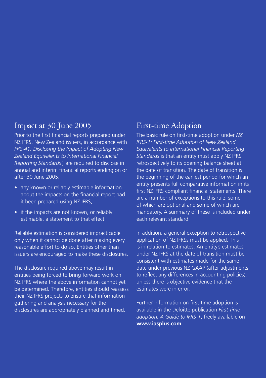### Impact at 30 June 2005

Prior to the first financial reports prepared under NZ IFRS, New Zealand issuers, in accordance with *FRS-41: Disclosing the Impact of Adopting New Zealand Equivalents to International Financial Reporting Standards',* are required to disclose in annual and interim financial reports ending on or after 30 June 2005:

- any known or reliably estimable information about the impacts on the financial report had it been prepared using NZ IFRS,
- if the impacts are not known, or reliably estimable, a statement to that effect.

Reliable estimation is considered impracticable only when it cannot be done after making every reasonable effort to do so. Entities other than issuers are encouraged to make these disclosures.

The disclosure required above may result in entities being forced to bring forward work on NZ IFRS where the above information cannot yet be determined. Therefore, entities should reassess their NZ IFRS projects to ensure that information gathering and analysis necessary for the disclosures are appropriately planned and timed.

#### First-time Adoption

The basic rule on first-time adoption under *NZ IFRS-1: First-time Adoption of New Zealand Equivalents to International Financial Reporting Standards* is that an entity must apply NZ IFRS retrospectively to its opening balance sheet at the date of transition. The date of transition is the beginning of the earliest period for which an entity presents full comparative information in its first NZ IFRS compliant financial statements. There are a number of exceptions to this rule, some of which are optional and some of which are mandatory. A summary of these is included under each relevant standard.

In addition, a general exception to retrospective application of NZ IFRSs must be applied. This is in relation to estimates. An entity's estimates under NZ IFRS at the date of transition must be consistent with estimates made for the same date under previous NZ GAAP (after adjustments to reflect any differences in accounting policies), unless there is objective evidence that the estimates were in error.

Further information on first-time adoption is available in the Deloitte publication *First-time adoption: A Guide to IFRS-1*, freely available on **www.iasplus.com**.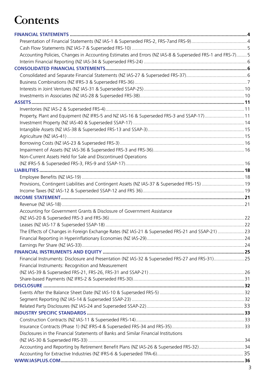## **Contents**

| Accounting Policies, Changes in Accounting Estimates and Errors (NZ IAS-8 & Superseded FRS-1 and FRS-7)5 |  |
|----------------------------------------------------------------------------------------------------------|--|
|                                                                                                          |  |
|                                                                                                          |  |
|                                                                                                          |  |
|                                                                                                          |  |
|                                                                                                          |  |
|                                                                                                          |  |
|                                                                                                          |  |
|                                                                                                          |  |
| Property, Plant and Equipment (NZ IFRS-5 and NZ IAS-16 & Superseded FRS-3 and SSAP-17) 11                |  |
|                                                                                                          |  |
|                                                                                                          |  |
|                                                                                                          |  |
|                                                                                                          |  |
|                                                                                                          |  |
| Non-Current Assets Held for Sale and Discontinued Operations                                             |  |
|                                                                                                          |  |
|                                                                                                          |  |
|                                                                                                          |  |
| Provisions, Contingent Liabilities and Contingent Assets (NZ IAS-37 & Superseded FRS-15)  19             |  |
|                                                                                                          |  |
|                                                                                                          |  |
|                                                                                                          |  |
| Accounting for Government Grants & Disclosure of Government Assistance                                   |  |
|                                                                                                          |  |
|                                                                                                          |  |
| The Effects of Changes in Foreign Exchange Rates (NZ IAS-21 & Superseded FRS-21 and SSAP-21)  23         |  |
|                                                                                                          |  |
|                                                                                                          |  |
|                                                                                                          |  |
| Financial Instruments: Disclosure and Presentation (NZ IAS-32 & Superseded FRS-27 and FRS-31)25          |  |
| Financial Instruments: Recognition and Measurement                                                       |  |
|                                                                                                          |  |
|                                                                                                          |  |
|                                                                                                          |  |
|                                                                                                          |  |
|                                                                                                          |  |
|                                                                                                          |  |
|                                                                                                          |  |
|                                                                                                          |  |
| Disclosures in the Financial Statements of Banks and Similar Financial Institutions                      |  |
|                                                                                                          |  |
| Accounting and Reporting by Retirement Benefit Plans (NZ IAS-26 & Superseded FRS-32) 34                  |  |
|                                                                                                          |  |
|                                                                                                          |  |
|                                                                                                          |  |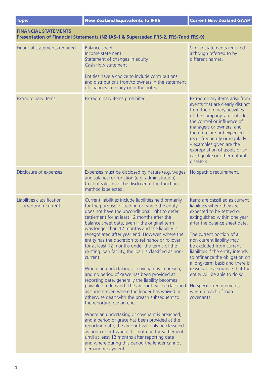| <b>Topic</b>                                        | <b>New Zealand Equivalents to IFRS</b>                                                                                                                                                                                                                                                                                                                                                                                                                                                                                                                                                                                                                                                                                                                                                                                                                                                                                                                                                                                                                                                                                                                                                                                     | <b>Current New Zealand GAAP</b>                                                                                                                                                                                                                                                                                                                                                                                                                                                               |
|-----------------------------------------------------|----------------------------------------------------------------------------------------------------------------------------------------------------------------------------------------------------------------------------------------------------------------------------------------------------------------------------------------------------------------------------------------------------------------------------------------------------------------------------------------------------------------------------------------------------------------------------------------------------------------------------------------------------------------------------------------------------------------------------------------------------------------------------------------------------------------------------------------------------------------------------------------------------------------------------------------------------------------------------------------------------------------------------------------------------------------------------------------------------------------------------------------------------------------------------------------------------------------------------|-----------------------------------------------------------------------------------------------------------------------------------------------------------------------------------------------------------------------------------------------------------------------------------------------------------------------------------------------------------------------------------------------------------------------------------------------------------------------------------------------|
| <b>FINANCIAL STATEMENTS</b>                         | Presentation of Financial Statements (NZ IAS-1 & Superseded FRS-2, FRS-7and FRS-9)                                                                                                                                                                                                                                                                                                                                                                                                                                                                                                                                                                                                                                                                                                                                                                                                                                                                                                                                                                                                                                                                                                                                         |                                                                                                                                                                                                                                                                                                                                                                                                                                                                                               |
| Financial statements required                       | <b>Balance sheet</b><br>Income statement<br>Statement of changes in equity<br>Cash flow statement<br>Entities have a choice to include contributions<br>and distributions from/to owners in the statement<br>of changes in equity or in the notes.                                                                                                                                                                                                                                                                                                                                                                                                                                                                                                                                                                                                                                                                                                                                                                                                                                                                                                                                                                         | Similar statements required<br>although referred to by<br>different names.                                                                                                                                                                                                                                                                                                                                                                                                                    |
| <b>Extraordinary items</b>                          | Extraordinary items prohibited.                                                                                                                                                                                                                                                                                                                                                                                                                                                                                                                                                                                                                                                                                                                                                                                                                                                                                                                                                                                                                                                                                                                                                                                            | Extraordinary items arise from<br>events that are clearly distinct<br>from the ordinary activities<br>of the company, are outside<br>the control or influence of<br>managers or owners, and<br>therefore are not expected to<br>recur frequently or regularly<br>- examples given are the<br>expropriation of assets or an<br>earthquake or other natural<br>disasters.                                                                                                                       |
| Disclosure of expenses                              | Expenses must be disclosed by nature (e.g. wages<br>and salaries) or function (e.g. administration).<br>Cost of sales must be disclosed if the function<br>method is selected.                                                                                                                                                                                                                                                                                                                                                                                                                                                                                                                                                                                                                                                                                                                                                                                                                                                                                                                                                                                                                                             | No specific requirement.                                                                                                                                                                                                                                                                                                                                                                                                                                                                      |
| Liabilities classification<br>- current/non-current | Current liabilities include liabilities held primarily<br>for the purpose of trading or where the entity<br>does not have the unconditional right to defer<br>settlement for at least 12 months after the<br>balance sheet date, even if the original term<br>was longer than 12 months and the liability is<br>renegotiated after year end. However, where the<br>entity has the discretion to refinance or rollover<br>for at least 12 months under the terms of the<br>existing loan facility, the loan is classified as non-<br>current.<br>Where an undertaking or covenant is in breach,<br>and no period of grace has been provided at<br>reporting date, generally the liability becomes<br>payable on demand. The amount will be classified<br>as current even where the lender has waived or<br>otherwise dealt with the breach subsequent to<br>the reporting period end.<br>Where an undertaking or covenant is breached,<br>and a period of grace has been provided at the<br>reporting date, the amount will only be classified<br>as non-current where it is not due for settlement<br>until at least 12 months after reporting date<br>and where during this period the lender cannot<br>demand repayment. | Items are classified as current<br>liabilities where they are<br>expected to be settled or<br>extinguished within one year<br>after the balance sheet date.<br>The current portion of a<br>non current liability may<br>be excluded from current<br>liabilities if the entity intends<br>to refinance the obligation on<br>a long-term basis and there is<br>reasonable assurance that the<br>entity will be able to do so.<br>No specific requirements<br>where breach of loan<br>covenants. |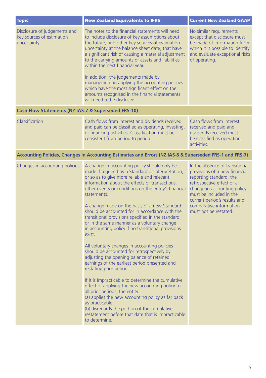| <b>Topic</b>                                                             | <b>New Zealand Equivalents to IFRS</b>                                                                                                                                                                                                                                                                                                                                                                                                                                                                                                                                                                                                                                                                                                                                                                                                                                                                                                                                                                                                                                                                             | <b>Current New Zealand GAAP</b>                                                                                                                                                                                                                                       |
|--------------------------------------------------------------------------|--------------------------------------------------------------------------------------------------------------------------------------------------------------------------------------------------------------------------------------------------------------------------------------------------------------------------------------------------------------------------------------------------------------------------------------------------------------------------------------------------------------------------------------------------------------------------------------------------------------------------------------------------------------------------------------------------------------------------------------------------------------------------------------------------------------------------------------------------------------------------------------------------------------------------------------------------------------------------------------------------------------------------------------------------------------------------------------------------------------------|-----------------------------------------------------------------------------------------------------------------------------------------------------------------------------------------------------------------------------------------------------------------------|
| Disclosure of judgements and<br>key sources of estimation<br>uncertainty | The notes to the financial statements will need<br>to include disclosure of key assumptions about<br>the future, and other key sources of estimation<br>uncertainty at the balance sheet date, that have<br>a significant risk of causing a material adjustment<br>to the carrying amounts of assets and liabilities<br>within the next financial year.<br>In addition, the judgements made by<br>management in applying the accounting policies<br>which have the most significant effect on the<br>amounts recognised in the financial statements<br>will need to be disclosed.                                                                                                                                                                                                                                                                                                                                                                                                                                                                                                                                  | No similar requirements<br>except that disclosure must<br>be made of information from<br>which it is possible to identify<br>and evaluate exceptional risks<br>of operating.                                                                                          |
| Cash Flow Statements (NZ IAS-7 & Superseded FRS-10)                      |                                                                                                                                                                                                                                                                                                                                                                                                                                                                                                                                                                                                                                                                                                                                                                                                                                                                                                                                                                                                                                                                                                                    |                                                                                                                                                                                                                                                                       |
| Classification                                                           | Cash flows from interest and dividends received<br>and paid can be classified as operating, investing,<br>or financing activities. Classification must be<br>consistent from period to period.                                                                                                                                                                                                                                                                                                                                                                                                                                                                                                                                                                                                                                                                                                                                                                                                                                                                                                                     | Cash flows from interest<br>received and paid and<br>dividends received must<br>be classified as operating<br>activities.                                                                                                                                             |
|                                                                          | Accounting Policies, Changes in Accounting Estimates and Errors (NZ IAS-8 & Superseded FRS-1 and FRS-7)                                                                                                                                                                                                                                                                                                                                                                                                                                                                                                                                                                                                                                                                                                                                                                                                                                                                                                                                                                                                            |                                                                                                                                                                                                                                                                       |
| Changes in accounting policies                                           | A change in accounting policy should only be<br>made if required by a Standard or Interpretation,<br>or so as to give more reliable and relevant<br>information about the effects of transactions,<br>other events or conditions on the entity's financial<br>statements.<br>A change made on the basis of a new Standard<br>should be accounted for in accordance with the<br>transitional provisions specified in the standard,<br>or in the same manner as a voluntary change<br>in accounting policy if no transitional provisions<br>exist.<br>All voluntary changes in accounting policies<br>should be accounted for retrospectively by<br>adjusting the opening balance of retained<br>earnings of the earliest period presented and<br>restating prior periods.<br>If it is impracticable to determine the cumulative<br>effect of applying the new accounting policy to<br>all prior periods, the entity:<br>(a) applies the new accounting policy as far back<br>as practicable.<br>(b) disregards the portion of the cumulative<br>restatement before that date that is impracticable<br>to determine. | In the absence of transitional<br>provisions of a new financial<br>reporting standard, the<br>retrospective effect of a<br>change in accounting policy<br>must be included in the<br>current period's results and<br>comparative information<br>must not be restated. |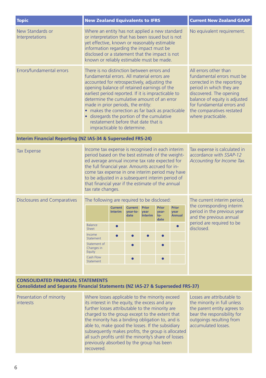| <b>Topic</b>                                                                                                                          | <b>New Zealand Equivalents to IFRS</b>                                                                                                                                                                                                                                                                                                                                                                                                                                                                         |                                                |                                    |                                        |                                                                                                                                                                                                                                                            |                                | <b>Current New Zealand GAAP</b>                                                     |
|---------------------------------------------------------------------------------------------------------------------------------------|----------------------------------------------------------------------------------------------------------------------------------------------------------------------------------------------------------------------------------------------------------------------------------------------------------------------------------------------------------------------------------------------------------------------------------------------------------------------------------------------------------------|------------------------------------------------|------------------------------------|----------------------------------------|------------------------------------------------------------------------------------------------------------------------------------------------------------------------------------------------------------------------------------------------------------|--------------------------------|-------------------------------------------------------------------------------------|
| New Standards or<br>Interpretations                                                                                                   | Where an entity has not applied a new standard<br>or interpretation that has been issued but is not<br>yet effective, known or reasonably estimable<br>information regarding the impact must be<br>disclosed or a statement that the impact is not<br>known or reliably estimable must be made.                                                                                                                                                                                                                |                                                |                                    | No equivalent requirement.             |                                                                                                                                                                                                                                                            |                                |                                                                                     |
| Errors/fundamental errors                                                                                                             | There is no distinction between errors and<br>fundamental errors. All material errors are<br>accounted for retrospectively, adjusting the<br>opening balance of retained earnings of the<br>earliest period reported. If it is impracticable to<br>determine the cumulative amount of an error<br>made in prior periods, the entity:<br>• makes the correction as far back as practicable<br>· disregards the portion of the cumulative<br>restatement before that date that is<br>impracticable to determine. |                                                |                                    |                                        | All errors other than<br>fundamental errors must be<br>corrected in the reporting<br>period in which they are<br>discovered. The opening<br>balance of equity is adjusted<br>for fundamental errors and<br>the comparatives restated<br>where practicable. |                                |                                                                                     |
| Interim Financial Reporting (NZ IAS-34 & Superseded FRS-24)                                                                           |                                                                                                                                                                                                                                                                                                                                                                                                                                                                                                                |                                                |                                    |                                        |                                                                                                                                                                                                                                                            |                                |                                                                                     |
| <b>Tax Expense</b>                                                                                                                    | Income tax expense is recognised in each interim<br>period based on the best estimate of the weight-<br>ed average annual income tax rate expected for<br>the full financial year. Amounts accrued for in-<br>come tax expense in one interim period may have<br>to be adjusted in a subsequent interim period of<br>that financial year if the estimate of the annual<br>tax rate changes.                                                                                                                    |                                                |                                    |                                        | Tax expense is calculated in<br>accordance with SSAP-12<br>Accounting for Income Tax.                                                                                                                                                                      |                                |                                                                                     |
| <b>Disclosures and Comparatives</b>                                                                                                   | The following are required to be disclosed:                                                                                                                                                                                                                                                                                                                                                                                                                                                                    |                                                |                                    |                                        | The current interim period,                                                                                                                                                                                                                                |                                |                                                                                     |
|                                                                                                                                       |                                                                                                                                                                                                                                                                                                                                                                                                                                                                                                                | <b>Current</b><br><b>Interim</b>               | <b>Current</b><br>year-to-<br>date | <b>Prior</b><br>year<br><b>Interim</b> | <b>Prior</b><br>year-<br>to-<br>date                                                                                                                                                                                                                       | Prior<br>year<br><b>Annual</b> | the corresponding interim<br>period in the previous year<br>and the previous annual |
|                                                                                                                                       | Balance<br>Sheet                                                                                                                                                                                                                                                                                                                                                                                                                                                                                               |                                                |                                    |                                        |                                                                                                                                                                                                                                                            |                                | period are required to be<br>disclosed.                                             |
|                                                                                                                                       | Income<br>Statement                                                                                                                                                                                                                                                                                                                                                                                                                                                                                            |                                                |                                    |                                        |                                                                                                                                                                                                                                                            |                                |                                                                                     |
|                                                                                                                                       | Statement of<br>Changes in<br>Equity                                                                                                                                                                                                                                                                                                                                                                                                                                                                           |                                                |                                    |                                        |                                                                                                                                                                                                                                                            |                                |                                                                                     |
|                                                                                                                                       | Cash Flow<br>Statement                                                                                                                                                                                                                                                                                                                                                                                                                                                                                         |                                                |                                    |                                        |                                                                                                                                                                                                                                                            |                                |                                                                                     |
|                                                                                                                                       |                                                                                                                                                                                                                                                                                                                                                                                                                                                                                                                |                                                |                                    |                                        |                                                                                                                                                                                                                                                            |                                |                                                                                     |
| <b>CONSOLIDATED FINANCIAL STATEMENTS</b><br><b>Consolidated and Separate Financial Statements (NZ IAS-27 &amp; Superseded FRS-37)</b> |                                                                                                                                                                                                                                                                                                                                                                                                                                                                                                                |                                                |                                    |                                        |                                                                                                                                                                                                                                                            |                                |                                                                                     |
| Presentation of minority                                                                                                              |                                                                                                                                                                                                                                                                                                                                                                                                                                                                                                                | Where losses applicable to the minority exceed |                                    |                                        |                                                                                                                                                                                                                                                            | Losses are attributable to     |                                                                                     |

| Presentation of minority<br><i>interests</i> | Where losses applicable to the minority exceed<br>its interest in the equity, the excess and any<br>further losses attributable to the minority are<br>charged to the group except to the extent that<br>the minority has a binding obligation to, and is<br>able to, make good the losses. If the subsidiary<br>subsequently makes profits, the group is allocated<br>all such profits until the minority's share of losses<br>previously absorbed by the group has been<br>recovered. | Losses are attributable to<br>the minority in full unless<br>the parent entity agrees to<br>bear the responsibility for<br>outgoings resulting from<br>accumulated losses. |
|----------------------------------------------|-----------------------------------------------------------------------------------------------------------------------------------------------------------------------------------------------------------------------------------------------------------------------------------------------------------------------------------------------------------------------------------------------------------------------------------------------------------------------------------------|----------------------------------------------------------------------------------------------------------------------------------------------------------------------------|
|----------------------------------------------|-----------------------------------------------------------------------------------------------------------------------------------------------------------------------------------------------------------------------------------------------------------------------------------------------------------------------------------------------------------------------------------------------------------------------------------------------------------------------------------------|----------------------------------------------------------------------------------------------------------------------------------------------------------------------------|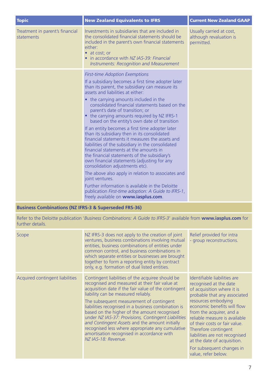| <b>Topic</b>                                  | <b>New Zealand Equivalents to IFRS</b>                                                                                                                                                                                                                                                                                                                                                                                                                                                                                                                                                                                                                                                                                                                                                                                                                                                                                                                                                                                                | <b>Current New Zealand GAAP</b>                                   |
|-----------------------------------------------|---------------------------------------------------------------------------------------------------------------------------------------------------------------------------------------------------------------------------------------------------------------------------------------------------------------------------------------------------------------------------------------------------------------------------------------------------------------------------------------------------------------------------------------------------------------------------------------------------------------------------------------------------------------------------------------------------------------------------------------------------------------------------------------------------------------------------------------------------------------------------------------------------------------------------------------------------------------------------------------------------------------------------------------|-------------------------------------------------------------------|
| Treatment in parent's financial<br>statements | Investments in subsidiaries that are included in<br>the consolidated financial statements should be<br>included in the parent's own financial statements<br>either:<br>• at cost; or<br>• in accordance with NZ IAS-39: Financial<br><b>Instruments: Recognition and Measurement</b>                                                                                                                                                                                                                                                                                                                                                                                                                                                                                                                                                                                                                                                                                                                                                  | Usually carried at cost,<br>although revaluation is<br>permitted. |
|                                               | <b>First-time Adoption Exemptions</b><br>If a subsidiary becomes a first time adopter later<br>than its parent, the subsidiary can measure its<br>assets and liabilities at either:<br>• the carrying amounts included in the<br>consolidated financial statements based on the<br>parent's date of transition; or<br>• the carrying amounts required by NZ IFRS-1<br>based on the entity's own date of transition<br>If an entity becomes a first time adopter later<br>than its subsidiary then in its consolidated<br>financial statements it measures the assets and<br>liabilities of the subsidiary in the consolidated<br>financial statements at the amounts in<br>the financial statements of the subsidiary's<br>own financial statements (adjusting for any<br>consolidation adjustments etc).<br>The above also apply in relation to associates and<br>joint ventures.<br>Further information is available in the Deloitte<br>publication First-time adoption: A Guide to IFRS-1,<br>freely available on www.iasplus.com. |                                                                   |

#### **Business Combinations (NZ IFRS-3 & Superseded FRS-36)**

Refer to the Deloitte publication '*Business Combinations: A Guide to IFRS-3*' available from **www.iasplus.com** for further details.

| Scope                           | NZ IFRS-3 does not apply to the creation of joint<br>ventures, business combinations involving mutual<br>entities, business combinations of entities under<br>common control, and business combinations in<br>which separate entities or businesses are brought<br>together to form a reporting entity by contract                                                                                                                                                                                                                                                                     | Relief provided for intra<br>- group reconstructions.                                                                                                                                                                                                                                                                                                                                                                 |
|---------------------------------|----------------------------------------------------------------------------------------------------------------------------------------------------------------------------------------------------------------------------------------------------------------------------------------------------------------------------------------------------------------------------------------------------------------------------------------------------------------------------------------------------------------------------------------------------------------------------------------|-----------------------------------------------------------------------------------------------------------------------------------------------------------------------------------------------------------------------------------------------------------------------------------------------------------------------------------------------------------------------------------------------------------------------|
|                                 | only, e.g. formation of dual listed entities.                                                                                                                                                                                                                                                                                                                                                                                                                                                                                                                                          |                                                                                                                                                                                                                                                                                                                                                                                                                       |
| Acquired contingent liabilities | Contingent liabilities of the acquiree should be<br>recognised and measured at their fair value at<br>acquisition date if the fair value of the contingent<br>liability can be measured reliably.<br>The subsequent measurement of contingent<br>liabilities recognised in a business combination is<br>based on the higher of the amount recognised<br>under NZ IAS-37: Provisions, Contingent Liabilities<br>and Contingent Assets and the amount initially<br>recognised less where appropriate any cumulative<br>amortisation recognised in accordance with<br>NZ IAS-18: Revenue. | Identifiable liabilities are<br>recognised at the date<br>of acquisition where it is<br>probable that any associated<br>resources embodying<br>economic benefits will flow<br>from the acquirer, and a<br>reliable measure is available<br>of their costs or fair value.<br>Therefore contingent<br>liabilities are not recognised<br>at the date of acquisition.<br>For subsequent changes in<br>value, refer below. |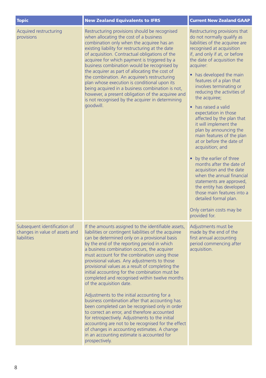| <b>Topic</b>                                                                  | <b>New Zealand Equivalents to IFRS</b>                                                                                                                                                                                                                                                                                                                                                                                                                                                                                                                                                                                                                                                                                                                                                                                                                                                                                                                                     | <b>Current New Zealand GAAP</b>                                                                                                                                                                                                                                                                                                                                                                                                                                                                                                                                                                                                                                                                                                                                                                                                       |
|-------------------------------------------------------------------------------|----------------------------------------------------------------------------------------------------------------------------------------------------------------------------------------------------------------------------------------------------------------------------------------------------------------------------------------------------------------------------------------------------------------------------------------------------------------------------------------------------------------------------------------------------------------------------------------------------------------------------------------------------------------------------------------------------------------------------------------------------------------------------------------------------------------------------------------------------------------------------------------------------------------------------------------------------------------------------|---------------------------------------------------------------------------------------------------------------------------------------------------------------------------------------------------------------------------------------------------------------------------------------------------------------------------------------------------------------------------------------------------------------------------------------------------------------------------------------------------------------------------------------------------------------------------------------------------------------------------------------------------------------------------------------------------------------------------------------------------------------------------------------------------------------------------------------|
| Acquired restructuring<br>provisions                                          | Restructuring provisions should be recognised<br>when allocating the cost of a business<br>combination only when the acquiree has an<br>existing liability for restructuring at the date<br>of acquisition. Contractual obligations of the<br>acquiree for which payment is triggered by a<br>business combination would be recognised by<br>the acquirer as part of allocating the cost of<br>the combination. An acquiree's restructuring<br>plan whose execution is conditional upon its<br>being acquired in a business combination is not,<br>however, a present obligation of the acquiree and<br>is not recognised by the acquirer in determining<br>goodwill.                                                                                                                                                                                                                                                                                                      | Restructuring provisions that<br>do not normally qualify as<br>liabilities of the acquiree are<br>recognised at acquisition<br>if, and only if at, or before<br>the date of acquisition the<br>acquirer:<br>• has developed the main<br>features of a plan that<br>involves terminating or<br>reducing the activities of<br>the acquiree;<br>• has raised a valid<br>expectation in those<br>affected by the plan that<br>it will implement the<br>plan by announcing the<br>main features of the plan<br>at or before the date of<br>acquisition; and<br>• by the earlier of three<br>months after the date of<br>acquisition and the date<br>when the annual financial<br>statements are approved,<br>the entity has developed<br>those main features into a<br>detailed formal plan.<br>Only certain costs may be<br>provided for. |
| Subsequent identification of<br>changes in value of assets and<br>liabilities | If the amounts assigned to the identifiable assets,<br>liabilities or contingent liabilities of the acquiree<br>can be determined only on a provisional basis<br>by the end of the reporting period in which<br>a business combination occurs, the acquirer<br>must account for the combination using those<br>provisional values. Any adjustments to those<br>provisional values as a result of completing the<br>initial accounting for the combination must be<br>completed and recognised within twelve months<br>of the acquisition date.<br>Adjustments to the initial accounting for a<br>business combination after that accounting has<br>been completed can be recognised only in order<br>to correct an error, and therefore accounted<br>for retrospectively. Adjustments to the initial<br>accounting are not to be recognised for the effect<br>of changes in accounting estimates. A change<br>in an accounting estimate is accounted for<br>prospectively. | Adjustments must be<br>made by the end of the<br>first annual accounting<br>period commencing after<br>acquisition.                                                                                                                                                                                                                                                                                                                                                                                                                                                                                                                                                                                                                                                                                                                   |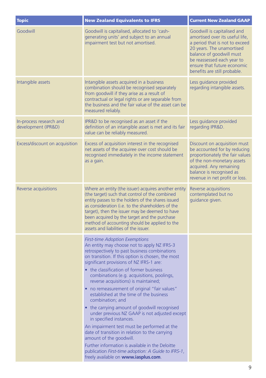| <b>Topic</b>                                   | <b>New Zealand Equivalents to IFRS</b>                                                                                                                                                                                                                                                                                                                                                                                                                                                                                                                                                                                                                                                                                                                                                                                                                                                                  | <b>Current New Zealand GAAP</b>                                                                                                                                                                                                                        |
|------------------------------------------------|---------------------------------------------------------------------------------------------------------------------------------------------------------------------------------------------------------------------------------------------------------------------------------------------------------------------------------------------------------------------------------------------------------------------------------------------------------------------------------------------------------------------------------------------------------------------------------------------------------------------------------------------------------------------------------------------------------------------------------------------------------------------------------------------------------------------------------------------------------------------------------------------------------|--------------------------------------------------------------------------------------------------------------------------------------------------------------------------------------------------------------------------------------------------------|
| Goodwill                                       | Goodwill is capitalised, allocated to 'cash-<br>generating units' and subject to an annual<br>impairment test but not amortised.                                                                                                                                                                                                                                                                                                                                                                                                                                                                                                                                                                                                                                                                                                                                                                        | Goodwill is capitalised and<br>amortised over its useful life,<br>a period that is not to exceed<br>20 years. The unamortised<br>balance of goodwill must<br>be reassessed each year to<br>ensure that future economic<br>benefits are still probable. |
| Intangible assets                              | Intangible assets acquired in a business<br>combination should be recognised separately<br>from goodwill if they arise as a result of<br>contractual or legal rights or are separable from<br>the business and the fair value of the asset can be<br>measured reliably.                                                                                                                                                                                                                                                                                                                                                                                                                                                                                                                                                                                                                                 | Less guidance provided<br>regarding intangible assets.                                                                                                                                                                                                 |
| In-process research and<br>development (IPR&D) | IPR&D to be recognised as an asset if the<br>definition of an intangible asset is met and its fair<br>value can be reliably measured.                                                                                                                                                                                                                                                                                                                                                                                                                                                                                                                                                                                                                                                                                                                                                                   | Less guidance provided<br>regarding IPR&D.                                                                                                                                                                                                             |
| Excess/discount on acquisition                 | Excess of acquisition interest in the recognised<br>net assets of the acquiree over cost should be<br>recognised immediately in the income statement<br>as a gain.                                                                                                                                                                                                                                                                                                                                                                                                                                                                                                                                                                                                                                                                                                                                      | Discount on acquisition must<br>be accounted for by reducing<br>proportionately the fair values<br>of the non-monetary assets<br>acquired. Any remaining<br>balance is recognised as<br>revenue in net profit or loss.                                 |
| Reverse acquisitions                           | Where an entity (the issuer) acquires another entity<br>(the target) such that control of the combined<br>entity passes to the holders of the shares issued<br>as consideration (i.e. to the shareholders of the<br>target), then the issuer may be deemed to have<br>been acquired by the target and the purchase<br>method of accounting should be applied to the<br>assets and liabilities of the issuer.                                                                                                                                                                                                                                                                                                                                                                                                                                                                                            | Reverse acquisitions<br>contemplated but no<br>guidance given.                                                                                                                                                                                         |
|                                                | <b>First-time Adoption Exemptions</b><br>An entity may choose not to apply NZ IFRS-3<br>retrospectively to past business combinations<br>on transition. If this option is chosen, the most<br>significant provisions of NZ IFRS-1 are:<br>• the classification of former business<br>combinations (e.g. acquisitions, poolings,<br>reverse acquisitions) is maintained;<br>no remeasurement of original "fair values"<br>established at the time of the business<br>combination; and<br>• the carrying amount of goodwill recognised<br>under previous NZ GAAP is not adjusted except<br>in specified instances.<br>An impairment test must be performed at the<br>date of transition in relation to the carrying<br>amount of the goodwill.<br>Further information is available in the Deloitte<br>publication First-time adoption: A Guide to IFRS-1,<br>freely available on <b>www.iasplus.com</b> . |                                                                                                                                                                                                                                                        |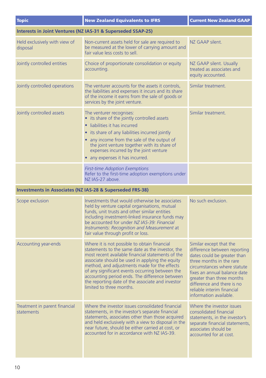| <b>Topic</b>                                | <b>New Zealand Equivalents to IFRS</b>                                                                                                                                                                                                                                                                                                                                                                                                       | <b>Current New Zealand GAAP</b>                                                                                                                                                                                                                                                                      |
|---------------------------------------------|----------------------------------------------------------------------------------------------------------------------------------------------------------------------------------------------------------------------------------------------------------------------------------------------------------------------------------------------------------------------------------------------------------------------------------------------|------------------------------------------------------------------------------------------------------------------------------------------------------------------------------------------------------------------------------------------------------------------------------------------------------|
|                                             | Interests in Joint Ventures (NZ IAS-31 & Superseded SSAP-25)                                                                                                                                                                                                                                                                                                                                                                                 |                                                                                                                                                                                                                                                                                                      |
| Held exclusively with view of<br>disposal   | Non-current assets held for sale are required to<br>be measured at the lower of carrying amount and<br>fair value less costs to sell.                                                                                                                                                                                                                                                                                                        | NZ GAAP silent.                                                                                                                                                                                                                                                                                      |
| Jointly controlled entities                 | Choice of proportionate consolidation or equity<br>accounting.                                                                                                                                                                                                                                                                                                                                                                               | NZ GAAP silent. Usually<br>treated as associates and<br>equity accounted.                                                                                                                                                                                                                            |
| Jointly controlled operations               | The venturer accounts for the assets it controls,<br>the liabilities and expenses it incurs and its share<br>of the income it earns from the sale of goods or<br>services by the joint venture.                                                                                                                                                                                                                                              | Similar treatment.                                                                                                                                                                                                                                                                                   |
| Jointly controlled assets                   | The venturer recognises:<br>• its share of the jointly controlled assets<br>liabilities it has incurred<br>• its share of any liabilities incurred jointly<br>• any income from the sale of the output of<br>the joint venture together with its share of<br>expenses incurred by the joint venture<br>• any expenses it has incurred.                                                                                                       | Similar treatment.                                                                                                                                                                                                                                                                                   |
|                                             | <b>First-time Adoption Exemptions</b><br>Refer to the first-time adoption exemptions under<br>NZ IAS-27 above.                                                                                                                                                                                                                                                                                                                               |                                                                                                                                                                                                                                                                                                      |
|                                             | <b>Investments in Associates (NZ IAS-28 &amp; Superseded FRS-38)</b>                                                                                                                                                                                                                                                                                                                                                                         |                                                                                                                                                                                                                                                                                                      |
| Scope exclusion                             | Investments that would otherwise be associates<br>held by venture capital organisations, mutual<br>funds, unit trusts and other similar entities<br>including investment-linked insurance funds may<br>be accounted for under NZ IAS-39: Financial<br>Instruments: Recognition and Measurement at<br>fair value through profit or loss.                                                                                                      | No such exclusion.                                                                                                                                                                                                                                                                                   |
| Accounting year-ends                        | Where it is not possible to obtain financial<br>statements to the same date as the investor, the<br>most recent available financial statements of the<br>associate should be used in applying the equity<br>method, and adjustments made for the effects<br>of any significant events occurring between the<br>accounting period ends. The difference between<br>the reporting date of the associate and investor<br>limited to three months | Similar except that the<br>difference between reporting<br>dates could be greater than<br>three months in the rare<br>circumstances where statute<br>fixes an annual balance date<br>greater than three months<br>difference and there is no<br>reliable interim financial<br>information available. |
| Treatment in parent financial<br>statements | Where the investor issues consolidated financial<br>statements, in the investor's separate financial<br>statements, associates other than those acquired<br>and held exclusively with a view to disposal in the<br>near future, should be either carried at cost, or<br>accounted for in accordance with NZ IAS-39.                                                                                                                          | Where the investor issues<br>consolidated financial<br>statements, in the investor's<br>separate financial statements,<br>associates should be<br>accounted for at cost.                                                                                                                             |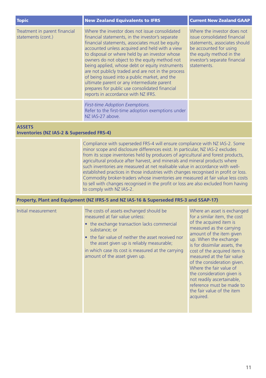| <b>Topic</b>                                        | <b>New Zealand Equivalents to IFRS</b>                                                                                                                                                                                                                                                                                                                                                                                                                                                                                                                                                                      | <b>Current New Zealand GAAP</b>                                                                                                                                                                    |
|-----------------------------------------------------|-------------------------------------------------------------------------------------------------------------------------------------------------------------------------------------------------------------------------------------------------------------------------------------------------------------------------------------------------------------------------------------------------------------------------------------------------------------------------------------------------------------------------------------------------------------------------------------------------------------|----------------------------------------------------------------------------------------------------------------------------------------------------------------------------------------------------|
| Treatment in parent financial<br>statements (cont.) | Where the investor does not issue consolidated<br>financial statements, in the investor's separate<br>financial statements, associates must be equity<br>accounted unless acquired and held with a view<br>to disposal or where held by an investor whose<br>owners do not object to the equity method not<br>being applied, whose debt or equity instruments<br>are not publicly traded and are not in the process<br>of being issued into a public market, and the<br>ultimate parent or any intermediate parent<br>prepares for public use consolidated financial<br>reports in accordance with NZ IFRS. | Where the investor does not<br>issue consolidated financial<br>statements, associates should<br>be accounted for using<br>the equity method in the<br>investor's separate financial<br>statements. |
|                                                     | <b>First-time Adoption Exemptions.</b><br>Refer to the first-time adoption exemptions under<br>NZ IAS-27 above.                                                                                                                                                                                                                                                                                                                                                                                                                                                                                             |                                                                                                                                                                                                    |

#### **ASSETS**

#### **Inventories (NZ IAS-2 & Superseded FRS-4)**

Compliance with superseded FRS-4 will ensure compliance with NZ IAS-2. Some minor scope and disclosure differences exist. In particular, NZ IAS-2 excludes from its scope inventories held by producers of agricultural and forest products, agricultural produce after harvest, and minerals and mineral products where such inventories are measured at net realisable value in accordance with wellestablished practices in those industries with changes recognised in profit or loss. Commodity broker-traders whose inventories are measured at fair value less costs to sell with changes recognised in the profit or loss are also excluded from having to comply with NZ IAS-2.

#### **Property, Plant and Equipment (NZ IFRS-5 and NZ IAS-16 & Superseded FRS-3 and SSAP-17)**

| Initial measurement | The costs of assets exchanged should be<br>measured at fair value unless:<br>• the exchange transaction lacks commercial<br>substance; or<br>• the fair value of neither the asset received nor<br>the asset given up is reliably measurable;<br>in which case its cost is measured at the carrying<br>amount of the asset given up. | Where an asset is exchange<br>for a similar item, the cost<br>of the acquired item is<br>measured as the carrying<br>amount of the item given<br>up. When the exchange<br>is for dissimilar assets, the<br>cost of the acquired item is<br>measured at the fair value<br>of the consideration given.<br>Where the fair value of<br>the consideration given is<br>not readily ascertainable,<br>reference must be made to<br>the fair value of the item<br>acquired. |
|---------------------|--------------------------------------------------------------------------------------------------------------------------------------------------------------------------------------------------------------------------------------------------------------------------------------------------------------------------------------|---------------------------------------------------------------------------------------------------------------------------------------------------------------------------------------------------------------------------------------------------------------------------------------------------------------------------------------------------------------------------------------------------------------------------------------------------------------------|
|---------------------|--------------------------------------------------------------------------------------------------------------------------------------------------------------------------------------------------------------------------------------------------------------------------------------------------------------------------------------|---------------------------------------------------------------------------------------------------------------------------------------------------------------------------------------------------------------------------------------------------------------------------------------------------------------------------------------------------------------------------------------------------------------------------------------------------------------------|

hanged cost

 $the$ tem is malue.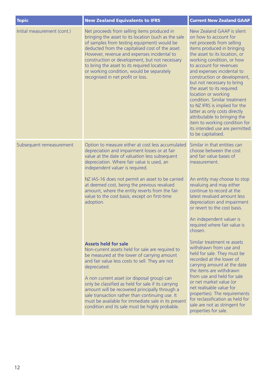| <b>Topic</b>                | <b>New Zealand Equivalents to IFRS</b>                                                                                                                                                                                                                                                                                                                                                                                                                                                                                 | <b>Current New Zealand GAAP</b>                                                                                                                                                                                                                                                                                                                                                                                                                                                                                                                                                    |
|-----------------------------|------------------------------------------------------------------------------------------------------------------------------------------------------------------------------------------------------------------------------------------------------------------------------------------------------------------------------------------------------------------------------------------------------------------------------------------------------------------------------------------------------------------------|------------------------------------------------------------------------------------------------------------------------------------------------------------------------------------------------------------------------------------------------------------------------------------------------------------------------------------------------------------------------------------------------------------------------------------------------------------------------------------------------------------------------------------------------------------------------------------|
| Initial measurement (cont.) | Net proceeds from selling items produced in<br>bringing the asset to its location (such as the sale<br>of samples from testing equipment) would be<br>deducted from the capitalised cost of the asset.<br>However, revenue and expenses incidental to<br>construction or development, but not necessary<br>to bring the asset to its required location<br>or working condition, would be separately<br>recognised in net profit or loss.                                                                               | New Zealand GAAP is silent<br>on how to account for<br>net proceeds from selling<br>items produced in bringing<br>the asset to its location, or<br>working condition, or how<br>to account for revenues<br>and expenses incidental to<br>construction or development,<br>but not necessary to bring<br>the asset to its required<br>location or working<br>condition. Similar treatment<br>to NZ IFRS is implied for the<br>latter as only costs directly<br>attributable to bringing the<br>item to working condition for<br>its intended use are permitted<br>to be capitalised. |
| Subsequent remeasurement    | Option to measure either at cost less accumulated<br>depreciation and impairment losses or at fair<br>value at the date of valuation less subsequent<br>depreciation. Where fair value is used, an<br>independent valuer is required.<br>NZ IAS-16 does not permit an asset to be carried<br>at deemed cost, being the previous revalued<br>amount, where the entity reverts from the fair<br>value to the cost basis, except on first-time<br>adoption.                                                               | Similar in that entities can<br>choose between the cost<br>and fair value bases of<br>measurement.<br>An entity may choose to stop<br>revaluing and may either<br>continue to record at the<br>latest revalued amount less<br>depreciation and impairment<br>or revert to the cost basis.<br>An independent valuer is<br>required where fair value is<br>chosen.                                                                                                                                                                                                                   |
|                             | <b>Assets held for sale</b><br>Non-current assets held for sale are required to<br>be measured at the lower of carrying amount<br>and fair value less costs to sell. They are not<br>depreciated.<br>A non current asset (or disposal group) can<br>only be classified as held for sale if its carrying<br>amount will be recovered principally through a<br>sale transaction rather than continuing use. It<br>must be available for immediate sale in its present<br>condition and its sale must be highly probable. | Similar treatment re assets<br>withdrawn from use and<br>held for sale. They must be<br>recorded at the lower of<br>carrying amount at the date<br>the items are withdrawn<br>from use and held for sale<br>or net market value (or<br>net realisable value for<br>properties). The requirements<br>for reclassification as held for<br>sale are not as stringent for<br>properties for sale.                                                                                                                                                                                      |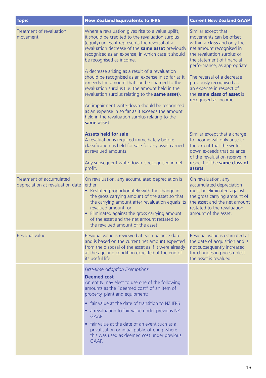| <b>Topic</b>                                                 | <b>New Zealand Equivalents to IFRS</b>                                                                                                                                                                                                                                                                                                                                                                                                                                                                                                                                                                                                                                                                                                         | <b>Current New Zealand GAAP</b>                                                                                                                                                                                                                                                                                                                           |
|--------------------------------------------------------------|------------------------------------------------------------------------------------------------------------------------------------------------------------------------------------------------------------------------------------------------------------------------------------------------------------------------------------------------------------------------------------------------------------------------------------------------------------------------------------------------------------------------------------------------------------------------------------------------------------------------------------------------------------------------------------------------------------------------------------------------|-----------------------------------------------------------------------------------------------------------------------------------------------------------------------------------------------------------------------------------------------------------------------------------------------------------------------------------------------------------|
| Treatment of revaluation<br>movement                         | Where a revaluation gives rise to a value uplift,<br>it should be credited to the revaluation surplus<br>(equity) unless it represents the reversal of a<br>revaluation decrease of the <b>same asset</b> previously<br>recognised as an expense, in which case it should<br>be recognised as income.<br>A decrease arising as a result of a revaluation<br>should be recognised as an expense in so far as it<br>exceeds the amount that can be charged to the<br>revaluation surplus (i.e. the amount held in the<br>revaluation surplus relating to the same asset).<br>An impairment write-down should be recognised<br>as an expense in so far as it exceeds the amount<br>held in the revaluation surplus relating to the<br>same asset. | Similar except that<br>movements can be offset<br>within a <b>class</b> and only the<br>net amount recognised in<br>the revaluation surplus or<br>the statement of financial<br>performance, as appropriate.<br>The reversal of a decrease<br>previously recognised as<br>an expense in respect of<br>the same class of asset is<br>recognised as income. |
|                                                              | <b>Assets held for sale</b><br>A revaluation is required immediately before<br>classification as held for sale for any asset carried<br>at revalued amounts.<br>Any subsequent write-down is recognised in net<br>profit.                                                                                                                                                                                                                                                                                                                                                                                                                                                                                                                      | Similar except that a charge<br>to income will only arise to<br>the extent that the write-<br>down exceeds that balance<br>of the revaluation reserve in<br>respect of the same class of<br>assets.                                                                                                                                                       |
| Treatment of accumulated<br>depreciation at revaluation date | On revaluation, any accumulated depreciation is<br>either:<br>• Restated proportionately with the change in<br>the gross carrying amount of the asset so that<br>the carrying amount after revaluation equals its<br>revalued amount; or<br>• Eliminated against the gross carrying amount<br>of the asset and the net amount restated to<br>the revalued amount of the asset.                                                                                                                                                                                                                                                                                                                                                                 | On revaluation, any<br>accumulated depreciation<br>must be eliminated against<br>the gross carrying amount of<br>the asset and the net amount<br>restated to the revaluation<br>amount of the asset.                                                                                                                                                      |
| <b>Residual value</b>                                        | Residual value is reviewed at each balance date<br>and is based on the current net amount expected<br>from the disposal of the asset as if it were already<br>at the age and condition expected at the end of<br>its useful life.                                                                                                                                                                                                                                                                                                                                                                                                                                                                                                              | Residual value is estimated at<br>the date of acquisition and is<br>not subsequently increased<br>for changes in prices unless<br>the asset is revalued.                                                                                                                                                                                                  |
|                                                              | <b>First-time Adoption Exemptions</b><br><b>Deemed cost</b><br>An entity may elect to use one of the following<br>amounts as the "deemed cost" of an item of<br>property, plant and equipment:<br>• fair value at the date of transition to NZ IFRS<br>• a revaluation to fair value under previous NZ<br><b>GAAP</b><br>• fair value at the date of an event such as a<br>privatisation or initial public offering where<br>this was used as deemed cost under previous<br>GAAP.                                                                                                                                                                                                                                                              |                                                                                                                                                                                                                                                                                                                                                           |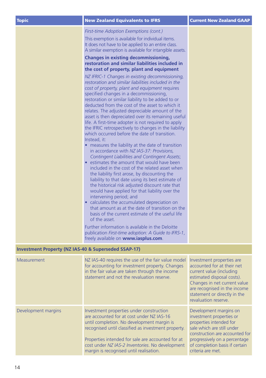| Topic | New Zealand Equivalents to IFRS               | Current New Zealand GAAP |
|-------|-----------------------------------------------|--------------------------|
|       | <b>First-time Adoption Exemptions (cont.)</b> |                          |

This exemption is available for individual items. It does not have to be applied to an entire class. A similar exemption is available for intangible assets.

#### **Changes in existing decommissioning, restoration and similar liabilities included in the cost of property, plant and equipment**

*NZ IFRIC-1 Changes in existing decommissioning, restoration and similar liabilities included in the cost of property, plant and equipment* requires specified changes in a decommissioning, restoration or similar liability to be added to or deducted from the cost of the asset to which it relates. The adjusted depreciable amount of the asset is then depreciated over its remaining useful life. A first-time adopter is not required to apply the IFRIC retrospectively to changes in the liability which occurred before the date of transition. Instead, it:

- measures the liability at the date of transition in accordance with *NZ IAS-37: Provisions, Contingent Liabilities and Contingent Assets*;
- estimates the amount that would have been included in the cost of the related asset when the liability first arose, by discounting the liability to that date using its best estimate of the historical risk adjusted discount rate that would have applied for that liability over the intervening period; and
- calculates the accumulated depreciation on that amount as at the date of transition on the basis of the current estimate of the useful life of the asset.

Further information is available in the Deloitte publication *First-time adoption: A Guide to IFRS-1*, freely available on **www.iasplus.com**.

#### **Investment Property (NZ IAS-40 & Superseded SSAP-17)**

| Measurement         | NZ IAS-40 requires the use of the fair value model<br>for accounting for investment property. Changes<br>in the fair value are taken through the income<br>statement and not the revaluation reserve.                                                                                                                                         | Investment properties are<br>accounted for at their net<br>current value (including<br>estimated disposal costs).<br>Changes in net current value<br>are recognised in the income<br>statement or directly in the<br>revaluation reserve. |
|---------------------|-----------------------------------------------------------------------------------------------------------------------------------------------------------------------------------------------------------------------------------------------------------------------------------------------------------------------------------------------|-------------------------------------------------------------------------------------------------------------------------------------------------------------------------------------------------------------------------------------------|
| Development margins | Investment properties under construction<br>are accounted for at cost under NZ IAS-16<br>until completion. No development margin is<br>recognised until classified as investment property.<br>Properties intended for sale are accounted for at<br>cost under NZ IAS-2 Inventories. No development<br>margin is recognised until realisation. | Development margins on<br>investment properties or<br>properties intended for<br>sale which are still under<br>construction are accounted for<br>progressively on a percentage<br>of completion basis if certain<br>criteria are met.     |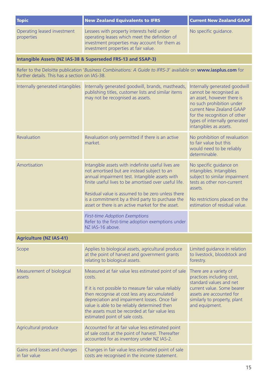| <b>Topic</b>                                   | <b>New Zealand Equivalents to IFRS</b>                                                                                                                                                                                                                                                                                                                                     | <b>Current New Zealand GAAP</b>                                                                                                                                                                                                            |
|------------------------------------------------|----------------------------------------------------------------------------------------------------------------------------------------------------------------------------------------------------------------------------------------------------------------------------------------------------------------------------------------------------------------------------|--------------------------------------------------------------------------------------------------------------------------------------------------------------------------------------------------------------------------------------------|
| Operating leased investment<br>properties      | Lessees with property interests held under<br>operating leases which meet the definition of<br>investment properties may account for them as<br>investment properties at fair value.                                                                                                                                                                                       | No specific guidance.                                                                                                                                                                                                                      |
|                                                | Intangible Assets (NZ IAS-38 & Superseded FRS-13 and SSAP-3)                                                                                                                                                                                                                                                                                                               |                                                                                                                                                                                                                                            |
| further details. This has a section on IAS-38. | Refer to the Deloitte publication 'Business Combinations: A Guide to IFRS-3' available on www.iasplus.com for                                                                                                                                                                                                                                                              |                                                                                                                                                                                                                                            |
| Internally generated intangibles               | Internally generated goodwill, brands, mastheads,<br>publishing titles, customer lists and similar items<br>may not be recognised as assets.                                                                                                                                                                                                                               | Internally generated goodwill<br>cannot be recognised as<br>an asset, however there is<br>no such prohibition under<br>current New Zealand GAAP<br>for the recognition of other<br>types of internally generated<br>intangibles as assets. |
| Revaluation                                    | Revaluation only permitted if there is an active<br>market.                                                                                                                                                                                                                                                                                                                | No prohibition of revaluation<br>to fair value but this<br>would need to be reliably<br>determinable.                                                                                                                                      |
| Amortisation                                   | Intangible assets with indefinite useful lives are<br>not amortised but are instead subject to an<br>annual impairment test. Intangible assets with<br>finite useful lives to be amortised over useful life.<br>Residual value is assumed to be zero unless there<br>is a commitment by a third party to purchase the<br>asset or there is an active market for the asset. | No specific guidance on<br>intangibles. Intangibles<br>subject to similar impairment<br>tests as other non-current<br>assets.<br>No restrictions placed on the<br>estimation of residual value.                                            |
|                                                | <b>First-time Adoption Exemptions</b><br>Refer to the first-time adoption exemptions under<br>NZ IAS-16 above.                                                                                                                                                                                                                                                             |                                                                                                                                                                                                                                            |
| <b>Agriculture (NZ IAS-41)</b>                 |                                                                                                                                                                                                                                                                                                                                                                            |                                                                                                                                                                                                                                            |
| Scope                                          | Applies to biological assets, agricultural produce<br>at the point of harvest and government grants<br>relating to biological assets.                                                                                                                                                                                                                                      | Limited guidance in relation<br>to livestock, bloodstock and<br>forestry.                                                                                                                                                                  |
| Measurement of biological<br>assets            | Measured at fair value less estimated point of sale<br>costs.<br>If it is not possible to measure fair value reliably<br>then recognise at cost less any accumulated<br>depreciation and impairment losses. Once fair<br>value is able to be reliably determined then<br>the assets must be recorded at fair value less<br>estimated point of sale costs.                  | There are a variety of<br>practices including cost,<br>standard values and net<br>current value. Some bearer<br>assets are accounted for<br>similarly to property, plant<br>and equipment.                                                 |
| Agricultural produce                           | Accounted for at fair value less estimated point<br>of sale costs at the point of harvest. Thereafter<br>accounted for as inventory under NZ IAS-2.                                                                                                                                                                                                                        |                                                                                                                                                                                                                                            |
| Gains and losses and changes<br>in fair value  | Changes in fair value less estimated point of sale<br>costs are recognised in the income statement.                                                                                                                                                                                                                                                                        |                                                                                                                                                                                                                                            |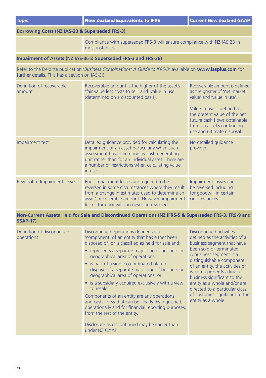| <b>Topic</b>                                   | <b>New Zealand Equivalents to IFRS</b>                                                                                                                                                                                                                                                                                                                                                                                                                                                                                                                                                                                                                                                                          | <b>Current New Zealand GAAP</b>                                                                                                                                                                                                                                                                                                                                                                       |
|------------------------------------------------|-----------------------------------------------------------------------------------------------------------------------------------------------------------------------------------------------------------------------------------------------------------------------------------------------------------------------------------------------------------------------------------------------------------------------------------------------------------------------------------------------------------------------------------------------------------------------------------------------------------------------------------------------------------------------------------------------------------------|-------------------------------------------------------------------------------------------------------------------------------------------------------------------------------------------------------------------------------------------------------------------------------------------------------------------------------------------------------------------------------------------------------|
| Borrowing Costs (NZ IAS-23 & Superseded FRS-3) |                                                                                                                                                                                                                                                                                                                                                                                                                                                                                                                                                                                                                                                                                                                 |                                                                                                                                                                                                                                                                                                                                                                                                       |
|                                                | Compliance with superseded FRS-3 will ensure compliance with NZ IAS 23 in<br>most instances.                                                                                                                                                                                                                                                                                                                                                                                                                                                                                                                                                                                                                    |                                                                                                                                                                                                                                                                                                                                                                                                       |
|                                                | Impairment of Assets (NZ IAS-36 & Superseded FRS-3 and FRS-36)                                                                                                                                                                                                                                                                                                                                                                                                                                                                                                                                                                                                                                                  |                                                                                                                                                                                                                                                                                                                                                                                                       |
| further details. This has a section on IAS-36. | Refer to the Deloitte publication 'Business Combinations: A Guide to IFRS-3' available on www.iasplus.com for                                                                                                                                                                                                                                                                                                                                                                                                                                                                                                                                                                                                   |                                                                                                                                                                                                                                                                                                                                                                                                       |
| Definition of recoverable<br>amount            | Recoverable amount is the higher of the asset's<br>'fair value less costs to sell' and 'value in use'<br>(determined on a discounted basis).                                                                                                                                                                                                                                                                                                                                                                                                                                                                                                                                                                    | Recoverable amount is defined<br>as the greater of 'net market<br>value' and 'value in use'.<br>Value in use is defined as<br>the present value of the net<br>future cash flows obtainable<br>from an asset's continuing<br>use and ultimate disposal.                                                                                                                                                |
| Impairment test                                | Detailed guidance provided for calculating the<br>impairment of an asset particularly when such<br>assessment has to be done by cash generating<br>unit rather than for an individual asset. There are<br>a number of restrictions when calculating value<br>in use.                                                                                                                                                                                                                                                                                                                                                                                                                                            | No detailed guidance<br>provided.                                                                                                                                                                                                                                                                                                                                                                     |
| Reversal of Impairment losses                  | Prior impairment losses are required to be<br>reversed in some circumstances where they result<br>from a change in estimates used to determine an<br>asset's recoverable amount. However, impairment<br>losses for goodwill can never be reversed.                                                                                                                                                                                                                                                                                                                                                                                                                                                              | Impairment losses can<br>be reversed including<br>for goodwill in certain<br>circumstances.                                                                                                                                                                                                                                                                                                           |
| <b>SSAP-17)</b>                                | Non-Current Assets Held for Sale and Discontinued Operations (NZ IFRS-5 & Superseded FRS-3, FRS-9 and                                                                                                                                                                                                                                                                                                                                                                                                                                                                                                                                                                                                           |                                                                                                                                                                                                                                                                                                                                                                                                       |
| Definition of discontinued<br>operations       | Discontinued operations defined as a<br>'component' of an entity that has either been<br>disposed of, or is classified as held for sale and:<br>• represents a separate major line of business or<br>geographical area of operations;<br>• is part of a single co-ordinated plan to<br>dispose of a separate major line of business or<br>geographical area of operations; or<br>• is a subsidiary acquired exclusively with a view<br>to resale.<br>Components of an entity are any operations<br>and cash flows that can be clearly distinguished,<br>operationally and for financial reporting purposes,<br>from the rest of the entity.<br>Disclosure as discontinued may be earlier than<br>under NZ GAAP. | Discontinued activities<br>defined as the activities of a<br>business segment that have<br>been sold or terminated.<br>A business segment is a<br>distinguishable component<br>of an entity, the activities of<br>which represents a line of<br>business significant to the<br>entity as a whole and/or are<br>directed to a particular class<br>of customer significant to the<br>entity as a whole. |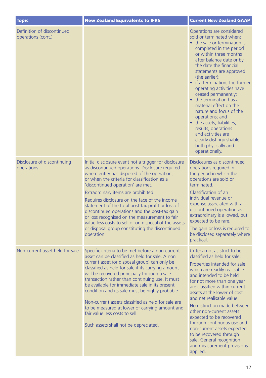| <b>Topic</b>                                     | <b>New Zealand Equivalents to IFRS</b>                                                                                                                                                                                                                                                                                                                                                                                                                                                                                                                                                                                | <b>Current New Zealand GAAP</b>                                                                                                                                                                                                                                                                                                                                                                                                                                                                                                                                                       |
|--------------------------------------------------|-----------------------------------------------------------------------------------------------------------------------------------------------------------------------------------------------------------------------------------------------------------------------------------------------------------------------------------------------------------------------------------------------------------------------------------------------------------------------------------------------------------------------------------------------------------------------------------------------------------------------|---------------------------------------------------------------------------------------------------------------------------------------------------------------------------------------------------------------------------------------------------------------------------------------------------------------------------------------------------------------------------------------------------------------------------------------------------------------------------------------------------------------------------------------------------------------------------------------|
| Definition of discontinued<br>operations (cont.) |                                                                                                                                                                                                                                                                                                                                                                                                                                                                                                                                                                                                                       | Operations are considered<br>sold or terminated when:<br>• the sale or termination is<br>completed in the period<br>or within three months<br>after balance date or by<br>the date the financial<br>statements are approved<br>(the earlier);<br>• if a termination, the former<br>operating activities have<br>ceased permanently;<br>• the termination has a<br>material effect on the<br>nature and focus of the<br>operations; and<br>• the assets, liabilities,<br>results, operations<br>and activities are<br>clearly distinguishable<br>both physically and<br>operationally. |
| Disclosure of discontinuing<br>operations        | Initial disclosure event not a trigger for disclosure<br>as discontinued operations. Disclosure required<br>where entity has disposed of the operation,<br>or when the criteria for classification as a<br>'discontinued operation' are met.<br>Extraordinary items are prohibited.<br>Requires disclosure on the face of the income<br>statement of the total post-tax profit or loss of<br>discontinued operations and the post-tax gain<br>or loss recognised on the measurement to fair<br>value less costs to sell or on disposal of the assets<br>or disposal group constituting the discontinued<br>operation. | Disclosures as discontinued<br>operations required in<br>the period in which the<br>operations are sold or<br>terminated.<br>Classification of an<br>individual revenue or<br>expense associated with a<br>discontinued operation as<br>extraordinary is allowed, but<br>expected to be rare.<br>The gain or loss is required to<br>be disclosed separately where<br>practical.                                                                                                                                                                                                       |
| Non-current asset held for sale                  | Specific criteria to be met before a non-current<br>asset can be classified as held for sale. A non<br>current asset (or disposal group) can only be<br>classified as held for sale if its carrying amount<br>will be recovered principally through a sale<br>transaction rather than continuing use. It must<br>be available for immediate sale in its present<br>condition and its sale must be highly probable.<br>Non-current assets classified as held for sale are<br>to be measured at lower of carrying amount and<br>fair value less costs to sell.<br>Such assets shall not be depreciated.                 | Criteria not as strict to be<br>classified as held for sale.<br>Properties intended for sale<br>which are readily realisable<br>and intended to be held<br>for not more than one year<br>are classified within current<br>assets at the lower of cost<br>and net realisable value.<br>No distinction made between<br>other non-current assets<br>expected to be recovered<br>through continuous use and<br>non-current assets expected<br>to be recovered through<br>sale. General recognition<br>and measurement provisions<br>applied.                                              |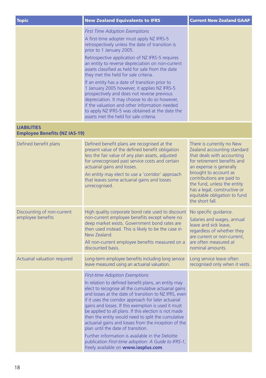| <b>Topic</b>                                               | <b>New Zealand Equivalents to IFRS</b>                                                                                                                                                                                                                                                                                                                                                                                                                                                                                                                                                                                                                                                                                | <b>Current New Zealand GAAP</b>                                                                                                                                                                                                                                                                                          |
|------------------------------------------------------------|-----------------------------------------------------------------------------------------------------------------------------------------------------------------------------------------------------------------------------------------------------------------------------------------------------------------------------------------------------------------------------------------------------------------------------------------------------------------------------------------------------------------------------------------------------------------------------------------------------------------------------------------------------------------------------------------------------------------------|--------------------------------------------------------------------------------------------------------------------------------------------------------------------------------------------------------------------------------------------------------------------------------------------------------------------------|
|                                                            | <b>First Time Adoption Exemptions</b><br>A first-time adopter must apply NZ IFRS-5<br>retrospectively unless the date of transition is<br>prior to 1 January 2005.<br>Retrospective application of NZ IFRS-5 requires<br>an entity to reverse depreciation on non-current<br>assets classified as held for sale from the date<br>they met the held for sale criteria.<br>If an entity has a date of transition prior to<br>1 January 2005 however, it applies NZ IFRS-5<br>prospectively and does not reverse previous<br>depreciation. It may choose to do so however,<br>if the valuation and other information needed<br>to apply NZ IFRS-5 was obtained at the date the<br>assets met the held for sale criteria. |                                                                                                                                                                                                                                                                                                                          |
| <b>LIABILITIES</b><br><b>Employee Benefits (NZ IAS-19)</b> |                                                                                                                                                                                                                                                                                                                                                                                                                                                                                                                                                                                                                                                                                                                       |                                                                                                                                                                                                                                                                                                                          |
| Defined benefit plans                                      | Defined benefit plans are recognised at the<br>present value of the defined benefit obligation<br>less the fair value of any plan assets, adjusted<br>for unrecognised past service costs and certain<br>actuarial gains and losses.<br>An entity may elect to use a 'corridor' approach<br>that leaves some actuarial gains and losses<br>unrecognised.                                                                                                                                                                                                                                                                                                                                                              | There is currently no New<br>Zealand accounting standard<br>that deals with accounting<br>for retirement benefits and<br>an expense is generally<br>brought to account as<br>contributions are paid to<br>the fund, unless the entity<br>has a legal, constructive or<br>equitable obligation to fund<br>the short fall. |
| Discounting of non-current<br>employee benefits            | High quality corporate bond rate used to discount<br>non-current employee benefits except where no<br>deep market exists. Government bond rates are<br>then used instead. This is likely to be the case in<br>New Zealand.<br>All non-current employee benefits measured on a<br>discounted basis.                                                                                                                                                                                                                                                                                                                                                                                                                    | No specific guidance.<br>Salaries and wages, annual<br>leave and sick leave,<br>regardless of whether they<br>are current or non-current,<br>are often measured at<br>nominal amounts.                                                                                                                                   |
| Actuarial valuation required                               | Long-term employee benefits including long service<br>leave measured using an actuarial valuation.                                                                                                                                                                                                                                                                                                                                                                                                                                                                                                                                                                                                                    | Long service leave often<br>recognised only when it vests.                                                                                                                                                                                                                                                               |
|                                                            | <b>First-time Adoption Exemptions</b><br>In relation to defined benefit plans, an entity may<br>elect to recognise all the cumulative actuarial gains<br>and losses at the date of transition to NZ IFRS, even<br>if it uses the corridor approach for later actuarial<br>gains and losses. If this exemption is used it must<br>be applied to all plans. If this election is not made<br>then the entity would need to split the cumulative<br>actuarial gains and losses from the inception of the<br>plan until the date of transition.<br>Further information is available in the Deloitte<br>publication First-time adoption: A Guide to IFRS-1,<br>freely available on www.iasplus.com.                         |                                                                                                                                                                                                                                                                                                                          |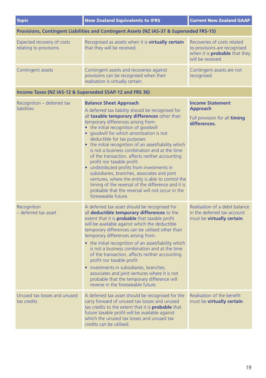| <b>Topic</b>                                                                             | <b>New Zealand Equivalents to IFRS</b>                                                                                                                                                                                                                                                                                                                                                                                                                                                                                                                                                                                                                                                                                                                                       | <b>Current New Zealand GAAP</b>                                                                                          |
|------------------------------------------------------------------------------------------|------------------------------------------------------------------------------------------------------------------------------------------------------------------------------------------------------------------------------------------------------------------------------------------------------------------------------------------------------------------------------------------------------------------------------------------------------------------------------------------------------------------------------------------------------------------------------------------------------------------------------------------------------------------------------------------------------------------------------------------------------------------------------|--------------------------------------------------------------------------------------------------------------------------|
| Provisions, Contingent Liabilities and Contingent Assets (NZ IAS-37 & Superseded FRS-15) |                                                                                                                                                                                                                                                                                                                                                                                                                                                                                                                                                                                                                                                                                                                                                                              |                                                                                                                          |
| Expected recovery of costs<br>relating to provisions                                     | Recognised as assets when it is <b>virtually certain</b><br>that they will be received.                                                                                                                                                                                                                                                                                                                                                                                                                                                                                                                                                                                                                                                                                      | Recoveries of costs related<br>to provisions are recognised<br>when it is <b>probable</b> that they<br>will be received. |
| Contingent assets                                                                        | Contingent assets and recoveries against<br>provisions can be recognised when their<br>realisation is virtually certain.                                                                                                                                                                                                                                                                                                                                                                                                                                                                                                                                                                                                                                                     | Contingent assets are not<br>recognised.                                                                                 |
|                                                                                          | Income Taxes (NZ IAS-12 & Superseded SSAP-12 and FRS 36)                                                                                                                                                                                                                                                                                                                                                                                                                                                                                                                                                                                                                                                                                                                     |                                                                                                                          |
| Recognition - deferred tax<br><b>liabilities</b>                                         | <b>Balance Sheet Approach</b><br>A deferred tax liability should be recognised for<br>all taxable temporary differences other than<br>temporary differences arising from:<br>• the initial recognition of goodwill<br>• approvill for which amortisation is not<br>deductible for tax purposes<br>• the initial recognition of an asset/liability which<br>is not a business combination and at the time<br>of the transaction, affects neither accounting<br>profit nor taxable profit<br>• undistributed profits from investments in<br>subsidiaries, branches, associates and joint<br>ventures, where the entity is able to control the<br>timing of the reversal of the difference and it is<br>probable that the reversal will not occur in the<br>foreseeable future. | <b>Income Statement</b><br>Approach<br>Full provision for all timing<br>differences.                                     |
| Recognition<br>- deferred tax asset                                                      | A deferred tax asset should be recognised for<br>all deductible temporary differences to the<br>extent that it is <b>probable</b> that taxable profit<br>will be available against which the deductible<br>temporary differences can be utilised other than<br>temporary differences arising from:<br>• the initial recognition of an asset/liability which<br>is not a business combination and at the time<br>of the transaction, affects neither accounting<br>profit nor taxable profit<br>· investments in subsidiaries, branches,<br>associates and joint ventures where it is not<br>probable that the temporary difference will<br>reverse in the foreseeable future.                                                                                                | Realisation of a debit balance<br>in the deferred tax account<br>must be virtually certain.                              |
| Unused tax losses and unused<br>tax credits                                              | A deferred tax asset should be recognised for the<br>carry forward of unused tax losses and unused<br>tax credits to the extent that it is <b>probable</b> that<br>future taxable profit will be available against<br>which the unused tax losses and unused tax<br>credits can be utilised.                                                                                                                                                                                                                                                                                                                                                                                                                                                                                 | Realisation of the benefit<br>must be virtually certain.                                                                 |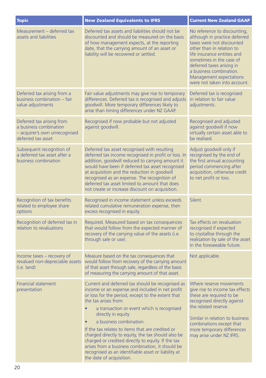| <b>Topic</b>                                                                                               | <b>New Zealand Equivalents to IFRS</b>                                                                                                                                                                                                                                                                                                                                                                                                                                                                                                                                                      | <b>Current New Zealand GAAP</b>                                                                                                                                                                                                                                                                       |
|------------------------------------------------------------------------------------------------------------|---------------------------------------------------------------------------------------------------------------------------------------------------------------------------------------------------------------------------------------------------------------------------------------------------------------------------------------------------------------------------------------------------------------------------------------------------------------------------------------------------------------------------------------------------------------------------------------------|-------------------------------------------------------------------------------------------------------------------------------------------------------------------------------------------------------------------------------------------------------------------------------------------------------|
| Measurement - deferred tax<br>assets and liabilities                                                       | Deferred tax assets and liabilities should not be<br>discounted and should be measured on the basis<br>of how management expects, at the reporting<br>date, that the carrying amount of an asset or<br>liability will be recovered or settled.                                                                                                                                                                                                                                                                                                                                              | No reference to discounting,<br>although in practice deferred<br>taxes were not discounted<br>other than in relation to<br>life insurance entities and<br>sometimes in the case of<br>deferred taxes arising in<br>a business combination.<br>Management expectations<br>were not taken into account. |
| Deferred tax arising from a<br>business combination - fair<br>value adjustments                            | Fair value adjustments may give rise to temporary<br>differences. Deferred tax is recognised and adjusts<br>goodwill. More temporary differences likely to<br>arise than timing differences under NZ GAAP.                                                                                                                                                                                                                                                                                                                                                                                  | Deferred tax is recognised<br>in relation to fair value<br>adiustments.                                                                                                                                                                                                                               |
| Deferred tax arising from<br>a business combination<br>- acquirer's own unrecognised<br>deferred tax asset | Recognised if now probable but not adjusted<br>against goodwill.                                                                                                                                                                                                                                                                                                                                                                                                                                                                                                                            | Recognised and adjusted<br>against goodwill if now<br>virtually certain asset able to<br>be realised.                                                                                                                                                                                                 |
| Subsequent recognition of<br>a deferred tax asset after a<br>business combination                          | Deferred tax asset recognised with resulting<br>deferred tax income recognised in profit or loss. In<br>addition, goodwill reduced to carrying amount it<br>would have been if deferred tax asset recognised<br>at acquisition and the reduction in goodwill<br>recognised as an expense. The recognition of<br>deferred tax asset limited to amount that does<br>not create or increase discount on acquisition.                                                                                                                                                                           | Adjust goodwill only if<br>recognised by the end of<br>the first annual accounting<br>period commencing after<br>acquisition, otherwise credit<br>to net profit or loss.                                                                                                                              |
| Recognition of tax benefits<br>related to employee share<br>options                                        | Recognised in income statement unless exceeds<br>related cumulative remuneration expense, then<br>excess recognised in equity.                                                                                                                                                                                                                                                                                                                                                                                                                                                              | Silent.                                                                                                                                                                                                                                                                                               |
| Recognition of deferred tax in<br>relation to revaluations                                                 | Required. Measured based on tax consequences<br>that would follow from the expected manner of<br>recovery of the carrying value of the assets (i.e.<br>through sale or use).                                                                                                                                                                                                                                                                                                                                                                                                                | Tax effects on revaluation<br>recognised if expected<br>to crystallise through the<br>realisation by sale of the asset<br>in the foreseeable future.                                                                                                                                                  |
| Income taxes - recovery of<br>revalued non-depreciable assets<br>$(i.e.$ land)                             | Measure based on the tax consequences that<br>would follow from recovery of the carrying amount<br>of that asset through sale, regardless of the basis<br>of measuring the carrying amount of that asset.                                                                                                                                                                                                                                                                                                                                                                                   | Not applicable.                                                                                                                                                                                                                                                                                       |
| <b>Financial statement</b><br>presentation                                                                 | Current and deferred tax should be recognised as<br>income or an expense and included in net profit<br>or loss for the period, except to the extent that<br>the tax arises from:<br>a transaction or event which is recognised<br>directly in equity<br>a business combination.<br>٠<br>If the tax relates to items that are credited or<br>charged directly to equity, the tax should also be<br>charged or credited directly to equity. If the tax<br>arises from a business combination, it should be<br>recognised as an identifiable asset or liability at<br>the date of acquisition. | Where reserve movements<br>give rise to income tax effects<br>these are required to be<br>recognised directly against<br>the related reserve.<br>Similar in relation to business<br>combinations except that<br>more temporary differences<br>may arise under NZ IFRS.                                |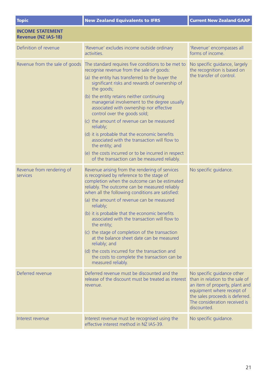| <b>Topic</b>                                          | <b>New Zealand Equivalents to IFRS</b>                                                                                                                                                                                                                                                                                                                                                                                                                                                                                                                                                                                                                                         | <b>Current New Zealand GAAP</b>                                                                                                                                                                                  |
|-------------------------------------------------------|--------------------------------------------------------------------------------------------------------------------------------------------------------------------------------------------------------------------------------------------------------------------------------------------------------------------------------------------------------------------------------------------------------------------------------------------------------------------------------------------------------------------------------------------------------------------------------------------------------------------------------------------------------------------------------|------------------------------------------------------------------------------------------------------------------------------------------------------------------------------------------------------------------|
| <b>INCOME STATEMENT</b><br><b>Revenue (NZ IAS-18)</b> |                                                                                                                                                                                                                                                                                                                                                                                                                                                                                                                                                                                                                                                                                |                                                                                                                                                                                                                  |
| Definition of revenue                                 | 'Revenue' excludes income outside ordinary<br>activities.                                                                                                                                                                                                                                                                                                                                                                                                                                                                                                                                                                                                                      | 'Revenue' encompasses all<br>forms of income.                                                                                                                                                                    |
| Revenue from the sale of goods                        | The standard requires five conditions to be met to<br>recognise revenue from the sale of goods:<br>(a) the entity has transferred to the buyer the<br>significant risks and rewards of ownership of<br>the goods;<br>(b) the entity retains neither continuing<br>managerial involvement to the degree usually<br>associated with ownership nor effective<br>control over the goods sold;<br>(c) the amount of revenue can be measured<br>reliably:<br>(d) it is probable that the economic benefits<br>associated with the transaction will flow to<br>the entity; and<br>(e) the costs incurred or to be incurred in respect<br>of the transaction can be measured reliably. | No specific guidance, largely<br>the recognition is based on<br>the transfer of control.                                                                                                                         |
| Revenue from rendering of<br>services                 | Revenue arising from the rendering of services<br>is recognised by reference to the stage of<br>completion when the outcome can be estimated<br>reliably. The outcome can be measured reliably<br>when all the following conditions are satisfied:<br>(a) the amount of revenue can be measured<br>reliably;<br>(b) it is probable that the economic benefits<br>associated with the transaction will flow to<br>the entity;<br>(c) the stage of completion of the transaction<br>at the balance sheet date can be measured<br>reliably: and<br>(d) the costs incurred for the transaction and<br>the costs to complete the transaction can be<br>measured reliably.           | No specific quidance.                                                                                                                                                                                            |
| Deferred revenue                                      | Deferred revenue must be discounted and the<br>release of the discount must be treated as interest<br>revenue.                                                                                                                                                                                                                                                                                                                                                                                                                                                                                                                                                                 | No specific guidance other<br>than in relation to the sale of<br>an item of property, plant and<br>equipment where receipt of<br>the sales proceeds is deferred.<br>The consideration received is<br>discounted. |
| Interest revenue                                      | Interest revenue must be recognised using the<br>effective interest method in NZ IAS-39.                                                                                                                                                                                                                                                                                                                                                                                                                                                                                                                                                                                       | No specific quidance.                                                                                                                                                                                            |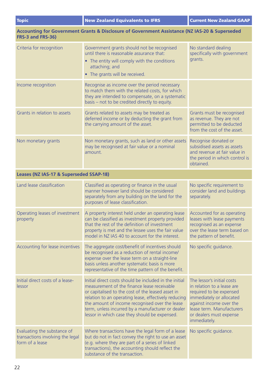#### **Accounting for Government Grants & Disclosure of Government Assistance (NZ IAS-20 & Superseded FRS-3 and FRS-36)** Criteria for recognition Government grants should not be recognised until there is reasonable assurance that: • The entity will comply with the conditions attaching; and • The grants will be received. No standard dealing specifically with government grants. Income recognition Recognise as income over the period necessary to match them with the related costs, for which they are intended to compensate, on a systematic basis – not to be credited directly to equity. Grants in relation to assets Grants related to assets may be treated as deferred income or by deducting the grant from the carrying amount of the asset. Grants must be recognised as revenue. They are not permitted to be deducted from the cost of the asset. Non monetary grants Non monetary grants, such as land or other assets may be recognised at fair value or a nominal amount. Recognise donated or subsidised assets as assets and revenue at fair value in the period in which control is obtained. **Leases (NZ IAS-17 & Superseded SSAP-18)** Land lease classification **Classified as operating or finance in the usual** manner however land should be considered separately from any building on the land for the purposes of lease classification. No specific requirement to consider land and buildings separately. Operating leases of investment property A property interest held under an operating lease can be classified as investment property provided that the rest of the definition of investment property is met and the lessee uses the fair value model in NZ IAS 40 to account for the interest. Accounted for as operating leases with lease payments recognised as an expense over the lease term based on the pattern of benefit. Accounting for lease incentives The aggregate cost/benefit of incentives should be recognised as a reduction of rental income/ expense over the lease term on a straight-line basis unless another systematic basis is more representative of the time pattern of the benefit. No specific quidance. Initial direct costs of a leaselessor Initial direct costs should be included in the initial measurement of the finance lease receivable or capitalised to the cost of the leased asset in relation to an operating lease, effectively reducing the amount of income recognised over the lease term, unless incurred by a manufacturer or dealer lessor in which case they should be expensed. The lessor's initial costs in relation to a lease are required to be expensed immediately or allocated against income over the lease term. Manufacturers or dealers must expense immediately. Evaluating the substance of transactions involving the legal form of a lease Where transactions have the legal form of a lease but do not in fact convey the right to use an asset (e.g. where they are part of a series of linked transactions), the accounting should reflect the substance of the transaction. No specific quidance.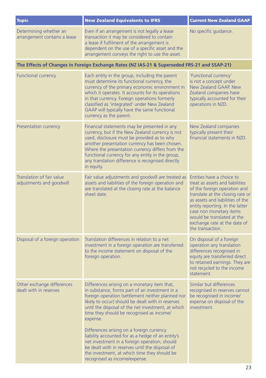| <b>Topic</b>                                                 | <b>New Zealand Equivalents to IFRS</b>                                                                                                                                                                                                                                                                                                                                                                                                                                                                                                                                                                         | <b>Current New Zealand GAAP</b>                                                                                                                                                                                                                                                                                      |
|--------------------------------------------------------------|----------------------------------------------------------------------------------------------------------------------------------------------------------------------------------------------------------------------------------------------------------------------------------------------------------------------------------------------------------------------------------------------------------------------------------------------------------------------------------------------------------------------------------------------------------------------------------------------------------------|----------------------------------------------------------------------------------------------------------------------------------------------------------------------------------------------------------------------------------------------------------------------------------------------------------------------|
| Determining whether an<br>arrangement contains a lease       | Even if an arrangement is not legally a lease<br>transaction it may be considered to contain<br>a lease if fulfilment of the arrangement is<br>dependent on the use of a specific asset and the<br>arrangement conveys the right to use the asset.                                                                                                                                                                                                                                                                                                                                                             | No specific guidance.                                                                                                                                                                                                                                                                                                |
|                                                              | The Effects of Changes in Foreign Exchange Rates (NZ IAS-21 & Superseded FRS-21 and SSAP-21)                                                                                                                                                                                                                                                                                                                                                                                                                                                                                                                   |                                                                                                                                                                                                                                                                                                                      |
| <b>Functional currency</b>                                   | Each entity in the group, including the parent<br>must determine its functional currency, the<br>currency of the primary economic environment in<br>which it operates. It accounts for its operations<br>in that currency. Foreign operations formerly<br>classified as 'integrated' under New Zealand<br>GAAP will typically have the same functional<br>currency as the parent.                                                                                                                                                                                                                              | 'Functional currency'<br>is not a concept under<br>New Zealand GAAP. New<br>Zealand companies have<br>typically accounted for their<br>operations in NZD.                                                                                                                                                            |
| Presentation currency                                        | Financial statements may be presented in any<br>currency, but if the New Zealand currency is not<br>used, disclosure must be provided as to why<br>another presentation currency has been chosen.<br>Where the presentation currency differs from the<br>functional currency for any entity in the group,<br>any translation difference is recognised directly<br>in equity.                                                                                                                                                                                                                                   | New Zealand companies<br>typically present their<br>financial statements in NZD.                                                                                                                                                                                                                                     |
| <b>Translation of fair value</b><br>adjustments and goodwill | Fair value adjustments and goodwill are treated as<br>assets and liabilities of the foreign operation and<br>are translated at the closing rate at the balance<br>sheet date                                                                                                                                                                                                                                                                                                                                                                                                                                   | Entities have a choice to<br>treat as assets and liabilities<br>of the foreign operation and<br>translate at the closing rate or<br>as assets and liabilities of the<br>entity reporting. In the latter<br>case non monetary items<br>would be translated at the<br>exchange rate at the date of<br>the transaction. |
| Disposal of a foreign operation                              | Translation differences in relation to a net<br>investment in a foreign operation are transferred<br>to the income statement on disposal of the<br>foreign operation.                                                                                                                                                                                                                                                                                                                                                                                                                                          | On disposal of a foreign<br>operation any translation<br>differences recognised in<br>equity are transferred direct<br>to retained earnings. They are<br>not recycled to the income<br>statement.                                                                                                                    |
| Other exchange differences<br>dealt with in reserves         | Differences arising on a monetary item that,<br>in substance, forms part of an investment in a<br>foreign operation (settlement neither planned nor<br>likely to occur) should be dealt with in reserves<br>until the disposal of the net investment, at which<br>time they should be recognised as income/<br>expense.<br>Differences arising on a foreign currency<br>liability accounted for as a hedge of an entity's<br>net investment in a foreign operation, should<br>be dealt with in reserves until the disposal of<br>the investment, at which time they should be<br>recognised as income/expense. | Similar but differences<br>recognised in reserves cannot<br>be recognised in income/<br>expense on disposal of the<br>investment.                                                                                                                                                                                    |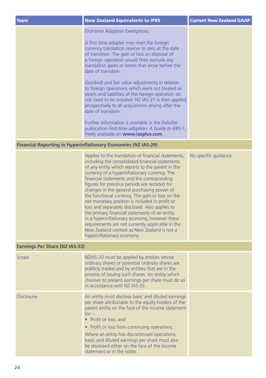| <b>Topic</b>                          | <b>New Zealand Equivalents to IFRS</b>                                                                                                                                                                                                                                                                                                                                                                                                                                                                                                                                                                                                                                                                                                              | <b>Current New Zealand GAAP</b> |
|---------------------------------------|-----------------------------------------------------------------------------------------------------------------------------------------------------------------------------------------------------------------------------------------------------------------------------------------------------------------------------------------------------------------------------------------------------------------------------------------------------------------------------------------------------------------------------------------------------------------------------------------------------------------------------------------------------------------------------------------------------------------------------------------------------|---------------------------------|
|                                       | <b>First-time Adoption Exemptions</b>                                                                                                                                                                                                                                                                                                                                                                                                                                                                                                                                                                                                                                                                                                               |                                 |
|                                       | A first time adopter may reset the foreign<br>currency translation reserve to zero at the date<br>of transition. The gain or loss on disposal of<br>a foreign operation would then exclude any<br>translation gains or losses that arose before the<br>date of transition.                                                                                                                                                                                                                                                                                                                                                                                                                                                                          |                                 |
|                                       | Goodwill and fair value adjustments in relation<br>to foreign operations which were not treated as<br>assets and liabilities of the foreign operation do<br>not need to be restated. NZ IAS-21 is then applied<br>prospectively to all acquisitions arising after the<br>date of transition.                                                                                                                                                                                                                                                                                                                                                                                                                                                        |                                 |
|                                       | Further information is available in the Deloitte<br>publication First-time adoption: A Guide to IFRS-1,<br>freely available on <b>www.iasplus.com</b> .                                                                                                                                                                                                                                                                                                                                                                                                                                                                                                                                                                                             |                                 |
|                                       | <b>Financial Reporting in Hyperinflationary Economies (NZ IAS-29)</b>                                                                                                                                                                                                                                                                                                                                                                                                                                                                                                                                                                                                                                                                               |                                 |
|                                       | Applies to the translation of financial statements,<br>including the consolidated financial statements<br>of any entity which reports to the parent in the<br>currency of a hyperinflationary currency. The<br>financial statements and the corresponding<br>figures for previous periods are restated for<br>changes in the general purchasing power of<br>the functional currency. The gain or loss on the<br>net monetary position is included in profit or<br>loss and separately disclosed. Also applies to<br>the primary financial statements of an entity<br>in a hyperinflationary economy, however these<br>requirements are not currently applicable in the<br>New Zealand context as New Zealand is not a<br>hyperinflationary economy. | No specific guidance.           |
| <b>Earnings Per Share (NZ IAS-33)</b> |                                                                                                                                                                                                                                                                                                                                                                                                                                                                                                                                                                                                                                                                                                                                                     |                                 |
| Scope                                 | NZIAS-33 must be applied by entities whose<br>ordinary shares or potential ordinary shares are<br>publicly traded and by entities that are in the<br>process of issuing such shares. An entity which<br>chooses to present earnings per share must do so<br>in accordance with NZ IAS-33.                                                                                                                                                                                                                                                                                                                                                                                                                                                           |                                 |
| <b>Disclosure</b>                     | An entity must disclose basic and diluted earnings<br>per share attributable to the equity holders of the<br>parent entity on the face of the income statement<br>$for: -$<br>• Profit or loss; and<br>• Profit or loss from continuing operations.<br>Where an entity has discontinued operations,<br>basic and diluted earnings per share must also<br>be disclosed either on the face of the income<br>statement or in the notes.                                                                                                                                                                                                                                                                                                                |                                 |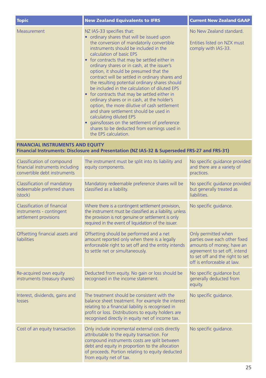| <b>Topic</b> | <b>New Zealand Equivalents to IFRS</b>                                                                                                                                                                                                                                                                                                                                                                                                                                                                                                                                                                                                                                                                                                                                                                                                  | <b>Current New Zealand GAAP</b>                                                |
|--------------|-----------------------------------------------------------------------------------------------------------------------------------------------------------------------------------------------------------------------------------------------------------------------------------------------------------------------------------------------------------------------------------------------------------------------------------------------------------------------------------------------------------------------------------------------------------------------------------------------------------------------------------------------------------------------------------------------------------------------------------------------------------------------------------------------------------------------------------------|--------------------------------------------------------------------------------|
| Measurement  | NZ IAS-33 specifies that:<br>• ordinary shares that will be issued upon<br>the conversion of mandatorily convertible<br>instruments should be included in the<br>calculation of basic EPS<br>• for contracts that may be settled either in<br>ordinary shares or in cash, at the issuer's<br>option, it should be presumed that the<br>contract will be settled in ordinary shares and<br>the resulting potential ordinary shares should<br>be included in the calculation of diluted EPS<br>• for contracts that may be settled either in<br>ordinary shares or in cash, at the holder's<br>option, the more dilutive of cash settlement<br>and share settlement should be used in<br>calculating diluted EPS<br>• gains/losses on the settlement of preference<br>shares to be deducted from earnings used in<br>the EPS calculation. | No New Zealand standard.<br>Entities listed on NZX must<br>comply with IAS-33. |

#### **FINANCIAL INSTRUMENTS AND EQUITY Financial Instruments: Disclosure and Presentation (NZ IAS-32 & Superseded FRS-27 and FRS-31)**

| Classification of compound<br>financial instruments including<br>convertible debt instruments | The instrument must be split into its liability and<br>equity components.                                                                                                                                                                                                         | No specific guidance provided<br>and there are a variety of<br>practices.                                                                                                         |
|-----------------------------------------------------------------------------------------------|-----------------------------------------------------------------------------------------------------------------------------------------------------------------------------------------------------------------------------------------------------------------------------------|-----------------------------------------------------------------------------------------------------------------------------------------------------------------------------------|
| Classification of mandatory<br>redeemable preferred shares<br>(stock)                         | Mandatory redeemable preference shares will be<br>classified as a liability.                                                                                                                                                                                                      | No specific guidance provided<br>but generally treated as<br><b>liabilities</b>                                                                                                   |
| Classification of financial<br>instruments - contingent<br>settlement provisions              | Where there is a contingent settlement provision,<br>the instrument must be classified as a liability, unless<br>the provision is not genuine or settlement is only<br>required in the event of liquidation of the issuer.                                                        | No specific quidance.                                                                                                                                                             |
| Offsetting financial assets and<br>liabilities                                                | Offsetting should be performed and a net<br>amount reported only when there is a legally<br>enforceable right to set off and the entity intends<br>to settle net or simultaneously.                                                                                               | Only permitted when<br>parties owe each other fixed<br>amounts of money; have an<br>agreement to set off, intend<br>to set off and the right to set<br>off is enforceable at law. |
| Re-acquired own equity<br>instruments (treasury shares)                                       | Deducted from equity. No gain or loss should be<br>recognised in the income statement.                                                                                                                                                                                            | No specific guidance but<br>generally deducted from<br>equity.                                                                                                                    |
| Interest, dividends, gains and<br>losses                                                      | The treatment should be consistent with the<br>balance sheet treatment. For example the interest<br>relating to a financial liability is recognised in<br>profit or loss. Distributions to equity holders are<br>recognised directly in equity net of income tax.                 | No specific quidance.                                                                                                                                                             |
| Cost of an equity transaction                                                                 | Only include incremental external costs directly<br>attributable to the equity transaction. For<br>compound instruments costs are split between<br>debt and equity in proportion to the allocation<br>of proceeds. Portion relating to equity deducted<br>from equity net of tax. | No specific quidance.                                                                                                                                                             |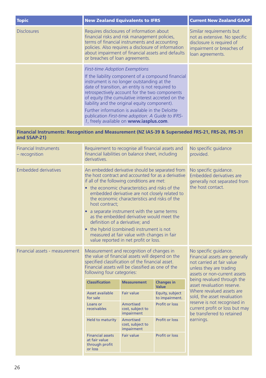| <b>Topic</b>       | <b>New Zealand Equivalents to IFRS</b>                                                                                                                                                                                                                                                                                                                                                                                                                                                                     | <b>Current New Zealand GAAP</b>                                                                                                         |
|--------------------|------------------------------------------------------------------------------------------------------------------------------------------------------------------------------------------------------------------------------------------------------------------------------------------------------------------------------------------------------------------------------------------------------------------------------------------------------------------------------------------------------------|-----------------------------------------------------------------------------------------------------------------------------------------|
| <b>Disclosures</b> | Requires disclosures of information about<br>financial risks and risk management policies,<br>terms of financial instruments and accounting<br>policies. Also requires a disclosure of information<br>about impairment of financial assets and defaults<br>or breaches of loan agreements.                                                                                                                                                                                                                 | Similar requirements but<br>not as extensive. No specific<br>disclosure is required of<br>impairment or breaches of<br>loan agreements. |
|                    | <b>First-time Adoption Exemptions</b><br>If the liability component of a compound financial<br>instrument is no longer outstanding at the<br>date of transition, an entity is not required to<br>retrospectively account for the two components<br>of equity (the cumulative interest accreted on the<br>liability and the original equity component).<br>Further information is available in the Deloitte<br>publication First-time adoption: A Guide to IFRS-<br>1, freely available on www.iasplus.com. |                                                                                                                                         |

#### **Financial Instruments: Recognition and Measurement (NZ IAS-39 & Superseded FRS-21, FRS-26, FRS-31 and SSAP-21)**

| <b>Financial Instruments</b><br>- recognition | Requirement to recognise all financial assets and<br>financial liabilities on balance sheet, including<br>derivatives.                                                                                                                                                                                                                                                                                                                                                                                                                                                                            |                                                    |                                                                                                                                                 | No specific guidance<br>provided.                                                            |
|-----------------------------------------------|---------------------------------------------------------------------------------------------------------------------------------------------------------------------------------------------------------------------------------------------------------------------------------------------------------------------------------------------------------------------------------------------------------------------------------------------------------------------------------------------------------------------------------------------------------------------------------------------------|----------------------------------------------------|-------------------------------------------------------------------------------------------------------------------------------------------------|----------------------------------------------------------------------------------------------|
| <b>Embedded derivatives</b>                   | An embedded derivative should be separated from<br>the host contract and accounted for as a derivative<br>if all of the following conditions are met:<br>• the economic characteristics and risks of the<br>embedded derivative are not closely related to<br>the economic characteristics and risks of the<br>host contract:<br>• a separate instrument with the same terms<br>as the embedded derivative would meet the<br>definition of a derivative; and<br>• the hybrid (combined) instrument is not<br>measured at fair value with changes in fair<br>value reported in net profit or loss. |                                                    | No specific quidance.<br><b>Embedded derivatives are</b><br>generally not separated from<br>the host contact.                                   |                                                                                              |
| Financial assets - measurement                | Measurement and recognition of changes in<br>the value of financial assets will depend on the<br>specified classification of the financial asset.<br>Financial assets will be classified as one of the<br>following four categories:                                                                                                                                                                                                                                                                                                                                                              |                                                    | No specific guidance.<br>Financial assets are generally<br>not carried at fair value<br>unless they are trading<br>assets or non-current assets |                                                                                              |
|                                               | <b>Classification</b>                                                                                                                                                                                                                                                                                                                                                                                                                                                                                                                                                                             | <b>Measurement</b>                                 | <b>Changes in</b><br>Value                                                                                                                      | being revalued through the<br>asset revaluation reserve.                                     |
|                                               | Asset available<br>for sale                                                                                                                                                                                                                                                                                                                                                                                                                                                                                                                                                                       | <b>Fair value</b>                                  | Equity, subject<br>to impairment.                                                                                                               | Where revalued assets are<br>sold, the asset revaluation                                     |
|                                               | Loans or<br>receivables                                                                                                                                                                                                                                                                                                                                                                                                                                                                                                                                                                           | <b>Amortised</b><br>cost, subject to<br>impairment | Profit or loss                                                                                                                                  | reserve is not recognised in<br>current profit or loss but may<br>be transferred to retained |
|                                               | Held to maturity                                                                                                                                                                                                                                                                                                                                                                                                                                                                                                                                                                                  | <b>Amortised</b><br>cost, subject to<br>impairment | <b>Profit or loss</b>                                                                                                                           | earnings.                                                                                    |
|                                               | <b>Financial assets</b><br>at fair value<br>through profit<br>or loss                                                                                                                                                                                                                                                                                                                                                                                                                                                                                                                             | <b>Fair value</b>                                  | <b>Profit or loss</b>                                                                                                                           |                                                                                              |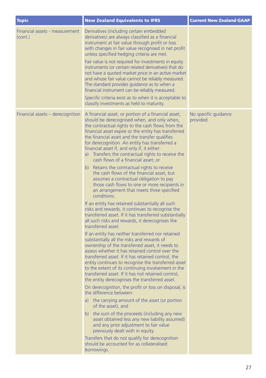| <b>Topic</b>                              | <b>New Zealand Equivalents to IFRS</b>                                                                                                                                                                                                                                                                                                                                                                                                                                                                                                                                                                                                                                                                                                                                                                                                                                                                                                                                                                                                                                                                                                                                                                                                                                                                                                                                                                                                                                                                                                                                                                                                                                                                                                                                                                                                                                                                           | <b>Current New Zealand GAAP</b>   |
|-------------------------------------------|------------------------------------------------------------------------------------------------------------------------------------------------------------------------------------------------------------------------------------------------------------------------------------------------------------------------------------------------------------------------------------------------------------------------------------------------------------------------------------------------------------------------------------------------------------------------------------------------------------------------------------------------------------------------------------------------------------------------------------------------------------------------------------------------------------------------------------------------------------------------------------------------------------------------------------------------------------------------------------------------------------------------------------------------------------------------------------------------------------------------------------------------------------------------------------------------------------------------------------------------------------------------------------------------------------------------------------------------------------------------------------------------------------------------------------------------------------------------------------------------------------------------------------------------------------------------------------------------------------------------------------------------------------------------------------------------------------------------------------------------------------------------------------------------------------------------------------------------------------------------------------------------------------------|-----------------------------------|
| Financial assets - measurement<br>(cont.) | Derivatives (including certain embedded<br>derivatives) are always classified as a financial<br>instrument at fair value through profit or loss<br>with changes in fair value recognised in net profit<br>unless specified hedging criteria are met.<br>Fair value is not required for investments in equity<br>instruments (or certain related derivatives) that do<br>not have a quoted market price in an active market<br>and whose fair value cannot be reliably measured.<br>The standard provides guidance as to when a<br>financial instrument can be reliably measured.<br>Specific criteria exist as to when it is acceptable to<br>classify investments as held to maturity.                                                                                                                                                                                                                                                                                                                                                                                                                                                                                                                                                                                                                                                                                                                                                                                                                                                                                                                                                                                                                                                                                                                                                                                                                          |                                   |
| Financial assets – derecognition          | A financial asset, or portion of a financial asset,<br>should be derecognised when, and only when,<br>the contractual rights to the cash flows from the<br>financial asset expire or the entity has transferred<br>the financial asset and the transfer qualifies<br>for derecognition. An entity has transferred a<br>financial asset if, and only if, it either:<br>a) Transfers the contractual rights to receive the<br>cash flows of a financial asset; or<br>b) Retains the contractual rights to receive<br>the cash flows of the financial asset, but<br>assumes a contractual obligation to pay<br>those cash flows to one or more recipients in<br>an arrangement that meets three specified<br>conditions.<br>If an entity has retained substantially all such<br>risks and rewards, it continues to recognise the<br>transferred asset. If it has transferred substantially<br>all such risks and rewards, it derecognises the<br>transferred asset.<br>If an entity has neither transferred nor retained<br>substantially all the risks and rewards of<br>ownership of the transferred asset, it needs to<br>assess whether it has retained control over the<br>transferred asset. If it has retained control, the<br>entity continues to recognise the transferred asset<br>to the extent of its continuing involvement in the<br>transferred asset. If it has not retained control,<br>the entity derecognises the transferred asset.<br>On derecognition, the profit or loss on disposal, is<br>the difference between:<br>a) the carrying amount of the asset (or portion<br>of the asset), and<br>b) the sum of the proceeds (including any new<br>asset obtained less any new liability assumed)<br>and any prior adjustment to fair value<br>previously dealt with in equity.<br>Transfers that do not qualify for derecognition<br>should be accounted for as collateralised<br>borrowings. | No specific guidance<br>provided. |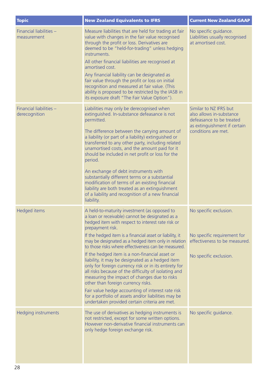| <b>Topic</b>                             | <b>New Zealand Equivalents to IFRS</b>                                                                                                                                                                                                                                                                                                                                                                                                                                                                                                                                                                                                                                                                                                                                                                                       | <b>Current New Zealand GAAP</b>                                                                                                       |
|------------------------------------------|------------------------------------------------------------------------------------------------------------------------------------------------------------------------------------------------------------------------------------------------------------------------------------------------------------------------------------------------------------------------------------------------------------------------------------------------------------------------------------------------------------------------------------------------------------------------------------------------------------------------------------------------------------------------------------------------------------------------------------------------------------------------------------------------------------------------------|---------------------------------------------------------------------------------------------------------------------------------------|
| Financial liabilities -<br>measurement   | Measure liabilities that are held for trading at fair<br>value with changes in the fair value recognised<br>through the profit or loss. Derivatives are<br>deemed to be "held-for-trading" unless hedging<br>instruments.<br>All other financial liabilities are recognised at<br>amortised cost.<br>Any financial liability can be designated as<br>fair value through the profit or loss on initial<br>recognition and measured at fair value. (This<br>ability is proposed to be restricted by the IASB in<br>its exposure draft "The Fair Value Option").                                                                                                                                                                                                                                                                | No specific guidance.<br>Liabilities usually recognised<br>at amortised cost.                                                         |
| Financial liabilities -<br>derecognition | Liabilities may only be derecognised when<br>extinguished. In-substance defeasance is not<br>permitted.<br>The difference between the carrying amount of<br>a liability (or part of a liability) extinguished or<br>transferred to any other party, including related<br>unamortised costs, and the amount paid for it<br>should be included in net profit or loss for the<br>period.<br>An exchange of debt instruments with<br>substantially different terms or a substantial<br>modification of terms of an existing financial<br>liability are both treated as an extinguishment<br>of a liability and recognition of a new financial<br>liability.                                                                                                                                                                      | Similar to NZ IFRS but<br>also allows in-substance<br>defeasance to be treated<br>as extinguishment if certain<br>conditions are met. |
| Hedged items                             | A held-to-maturity investment (as opposed to<br>a loan or receivable) cannot be designated as a<br>hedged item with respect to interest rate risk or<br>prepayment risk.<br>If the hedged item is a financial asset or liability, it<br>may be designated as a hedged item only in relation<br>to those risks where effectiveness can be measured.<br>If the hedged item is a non-financial asset or<br>liability, it may be designated as a hedged item<br>only for foreign currency risk or in its entirety for<br>all risks because of the difficulty of isolating and<br>measuring the impact of changes due to risks<br>other than foreign currency risks.<br>Fair value hedge accounting of interest rate risk<br>for a portfolio of assets and/or liabilities may be<br>undertaken provided certain criteria are met. | No specific exclusion.<br>No specific requirement for<br>effectiveness to be measured.<br>No specific exclusion.                      |
| Hedging instruments                      | The use of derivatives as hedging instruments is<br>not restricted, except for some written options.<br>However non-derivative financial instruments can<br>only hedge foreign exchange risk.                                                                                                                                                                                                                                                                                                                                                                                                                                                                                                                                                                                                                                | No specific guidance.                                                                                                                 |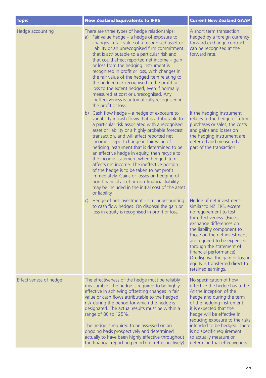| <b>Topic</b>                  | <b>New Zealand Equivalents to IFRS</b>                                                                                                                                                                                                                                                                                                                                                                                                                                                                                                                                                                                                                                                                     | <b>Current New Zealand GAAP</b>                                                                                                                                                                                                                                                                                                                                                         |
|-------------------------------|------------------------------------------------------------------------------------------------------------------------------------------------------------------------------------------------------------------------------------------------------------------------------------------------------------------------------------------------------------------------------------------------------------------------------------------------------------------------------------------------------------------------------------------------------------------------------------------------------------------------------------------------------------------------------------------------------------|-----------------------------------------------------------------------------------------------------------------------------------------------------------------------------------------------------------------------------------------------------------------------------------------------------------------------------------------------------------------------------------------|
| Hedge accounting              | There are three types of hedge relationships:<br>a) Fair value hedge - a hedge of exposure to<br>changes in fair value of a recognised asset or<br>liability or an unrecognised firm commitment,<br>that is attributable to a particular risk and<br>that could affect reported net income - gain<br>or loss from the hedging instrument is<br>recognised in profit or loss, with changes in<br>the fair value of the hedged item relating to<br>the hedged risk recognised in the profit or<br>loss to the extent hedged, even if normally<br>measured at cost or unrecognised. Any<br>ineffectiveness is automatically recognised in<br>the profit or loss.                                              | A short term transaction<br>hedged by a foreign currency<br>forward exchange contract<br>can be recognised at the<br>forward rate.                                                                                                                                                                                                                                                      |
|                               | b) Cash flow hedge $-$ a hedge of exposure to<br>variability in cash flows that is attributable to<br>a particular risk associated with a recognised<br>asset or liability or a highly probable forecast<br>transaction, and will affect reported net<br>income – report change in fair value of<br>hedging instrument that is determined to be<br>an effective hedge in equity, then recycle to<br>the income statement when hedged item<br>affects net income. The ineffective portion<br>of the hedge is to be taken to net profit<br>immediately. Gains or losses on hedging of<br>non-financial asset or non-financial liability<br>may be included in the initial cost of the asset<br>or liability. | If the hedging instrument<br>relates to the hedge of future<br>purchases or sales, the costs<br>and gains and losses on<br>the hedging instrument are<br>deferred and measured as<br>part of the transaction.                                                                                                                                                                           |
|                               | c) Hedge of net investment – similar accounting<br>to cash flow hedges. On disposal the gain or<br>loss in equity is recognised in profit or loss.                                                                                                                                                                                                                                                                                                                                                                                                                                                                                                                                                         | Hedge of net investment<br>similar to NZ IFRS, except<br>no requirement to test<br>for effectiveness. (Excess<br>exchange differences on<br>the liability component to<br>those on the net investment<br>are required to be expensed<br>through the statement of<br>financial performance).<br>On disposal the gain or loss in<br>equity is transferred direct to<br>retained earnings. |
| <b>Effectiveness of hedge</b> | The effectiveness of the hedge must be reliably<br>measurable. The hedge is required to be highly<br>effective in achieving offsetting changes in fair<br>value or cash flows attributable to the hedged<br>risk during the period for which the hedge is<br>designated. The actual results must be within a<br>range of 80 to 125%.<br>The hedge is required to be assessed on an<br>ongoing basis prospectively and determined<br>actually to have been highly effective throughout<br>the financial reporting period (i.e. retrospectively).                                                                                                                                                            | No specification of how<br>effective the hedge has to be.<br>At the inception of the<br>hedge and during the term<br>of the hedging instrument,<br>it is expected that the<br>hedge will be effective in<br>reducing exposure to the risks<br>intended to be hedged. There<br>is no specific requirement<br>to actually measure or<br>determine that effectiveness.                     |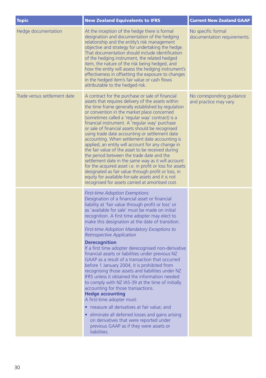| <b>Topic</b>                 | <b>New Zealand Equivalents to IFRS</b>                                                                                                                                                                                                                                                                                                                                                                                                                                                                                                                                                                                                                                                                                                                                                                                                                                                                                                                                                                                                                                                             | <b>Current New Zealand GAAP</b>                     |
|------------------------------|----------------------------------------------------------------------------------------------------------------------------------------------------------------------------------------------------------------------------------------------------------------------------------------------------------------------------------------------------------------------------------------------------------------------------------------------------------------------------------------------------------------------------------------------------------------------------------------------------------------------------------------------------------------------------------------------------------------------------------------------------------------------------------------------------------------------------------------------------------------------------------------------------------------------------------------------------------------------------------------------------------------------------------------------------------------------------------------------------|-----------------------------------------------------|
| Hedge documentation          | At the inception of the hedge there is formal<br>designation and documentation of the hedging<br>relationship and the entity's risk management<br>objective and strategy for undertaking the hedge.<br>That documentation should include identification<br>of the hedging instrument, the related hedged<br>item, the nature of the risk being hedged, and<br>how the entity will assess the hedging instrument's<br>effectiveness in offsetting the exposure to changes<br>in the hedged item's fair value or cash flows<br>attributable to the hedged risk.                                                                                                                                                                                                                                                                                                                                                                                                                                                                                                                                      | No specific formal<br>documentation requirements.   |
| Trade versus settlement date | A contract for the purchase or sale of financial<br>assets that requires delivery of the assets within<br>the time frame generally established by regulation<br>or convention in the market place concerned<br>(sometimes called a 'regular way' contract) is a<br>financial instrument. A 'regular way' purchase<br>or sale of financial assets should be recognised<br>using trade date accounting or settlement date<br>accounting. When settlement date accounting is<br>applied, an entity will account for any change in<br>the fair value of the asset to be received during<br>the period between the trade date and the<br>settlement date in the same way as it will account<br>for the acquired asset i.e. in profit or loss for assets<br>designated as fair value through profit or loss, in<br>equity for available-for-sale assets and it is not<br>recognised for assets carried at amortised cost.                                                                                                                                                                                | No corresponding quidance<br>and practice may vary. |
|                              | <b>First-time Adoption Exemptions</b><br>Designation of a financial asset or financial<br>liability at 'fair value through profit or loss' or<br>as 'available for sale' must be made on initial<br>recognition. A first time adopter may elect to<br>make this designation at the date of transition.<br>First-time Adoption Mandatory Exceptions to<br><b>Retrospective Application</b><br><b>Derecognition</b><br>If a first time adopter derecognised non-derivative<br>financial assets or liabilities under previous NZ<br>GAAP as a result of a transaction that occurred<br>before 1 January 2004, it is prohibited from<br>recognising those assets and liabilities under NZ<br>IFRS unless it obtained the information needed<br>to comply with NZ IAS-39 at the time of initially<br>accounting for those transactions.<br><b>Hedge accounting</b><br>A first-time adopter must:<br>measure all derivatives at fair value; and<br>eliminate all deferred losses and gains arising<br>on derivatives that were reported under<br>previous GAAP as if they were assets or<br>liabilities. |                                                     |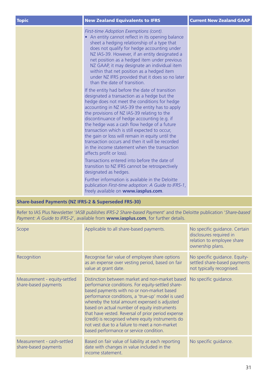| <b>Topic</b>                                         | <b>New Zealand Equivalents to IFRS</b>                                                                                                                                                                                                                                                                                                                                                                                                                                                                                                                                             | <b>Current New Zealand GAAP</b> |
|------------------------------------------------------|------------------------------------------------------------------------------------------------------------------------------------------------------------------------------------------------------------------------------------------------------------------------------------------------------------------------------------------------------------------------------------------------------------------------------------------------------------------------------------------------------------------------------------------------------------------------------------|---------------------------------|
|                                                      | First-time Adoption Exemptions (cont).<br>• An entity cannot reflect in its opening balance<br>sheet a hedging relationship of a type that<br>does not qualify for hedge accounting under<br>NZ IAS-39. However, if an entity designated a<br>net position as a hedged item under previous<br>NZ GAAP, it may designate an individual item<br>within that net position as a hedged item<br>under NZ IFRS provided that it does so no later<br>than the date of transition.                                                                                                         |                                 |
|                                                      | If the entity had before the date of transition<br>designated a transaction as a hedge but the<br>hedge does not meet the conditions for hedge<br>accounting in NZ IAS-39 the entity has to apply<br>the provisions of NZ IAS-39 relating to the<br>discontinuance of hedge accounting (e.g. if<br>the hedge was a cash flow hedge of a future<br>transaction which is still expected to occur,<br>the gain or loss will remain in equity until the<br>transaction occurs and then it will be recorded<br>in the income statement when the transaction<br>affects profit or loss). |                                 |
|                                                      | Transactions entered into before the date of<br>transition to NZ IFRS cannot be retrospectively<br>designated as hedges.                                                                                                                                                                                                                                                                                                                                                                                                                                                           |                                 |
|                                                      | Further information is available in the Deloitte<br>publication First-time adoption: A Guide to IFRS-1,<br>freely available on www.iasplus.com.                                                                                                                                                                                                                                                                                                                                                                                                                                    |                                 |
| Share-based Payments (NZ IFRS-2 & Superseded FRS-30) |                                                                                                                                                                                                                                                                                                                                                                                                                                                                                                                                                                                    |                                 |

| Refer to IAS Plus Newsletter 'IASB publishes IFRS-2 Share-based Payment' and the Deloitte publication 'Share-based |  |  |
|--------------------------------------------------------------------------------------------------------------------|--|--|
|                                                                                                                    |  |  |

*Payment: A Guide to IFRS-2*', available from **www.iasplus.com**, for further details.

| Scope                                                | Applicable to all share-based payments.                                                                                                                                                                                                                                                                                                                                                                                                                                                                           | No specific quidance. Certain<br>disclosures required in<br>relation to employee share<br>ownership plans. |
|------------------------------------------------------|-------------------------------------------------------------------------------------------------------------------------------------------------------------------------------------------------------------------------------------------------------------------------------------------------------------------------------------------------------------------------------------------------------------------------------------------------------------------------------------------------------------------|------------------------------------------------------------------------------------------------------------|
| Recognition                                          | Recognise fair value of employee share options<br>as an expense over vesting period, based on fair<br>value at grant date.                                                                                                                                                                                                                                                                                                                                                                                        | No specific guidance. Equity-<br>settled share-based payments<br>not typically recognised.                 |
| Measurement - equity-settled<br>share-based payments | Distinction between market and non-market based<br>performance conditions. For equity-settled share-<br>based payments with no or non-market based<br>performance conditions, a 'true-up' model is used<br>whereby the total amount expensed is adjusted<br>based on actual number of equity instruments<br>that have vested. Reversal of prior period expense<br>(credit) is recognised where equity instruments do<br>not vest due to a failure to meet a non-market<br>based performance or service condition. | No specific quidance.                                                                                      |
| Measurement - cash-settled<br>share-based payments   | Based on fair value of liability at each reporting<br>date with changes in value included in the<br>income statement.                                                                                                                                                                                                                                                                                                                                                                                             | No specific quidance.                                                                                      |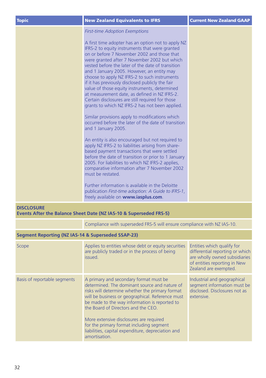| <b>Topic</b>                                                                            | <b>New Zealand Equivalents to IFRS</b>                                                                                                                                                                                                                                                                                                                                                                                                                                                                                                                                                                               | <b>Current New Zealand GAAP</b>                                                                                                                         |  |  |
|-----------------------------------------------------------------------------------------|----------------------------------------------------------------------------------------------------------------------------------------------------------------------------------------------------------------------------------------------------------------------------------------------------------------------------------------------------------------------------------------------------------------------------------------------------------------------------------------------------------------------------------------------------------------------------------------------------------------------|---------------------------------------------------------------------------------------------------------------------------------------------------------|--|--|
|                                                                                         | <b>First-time Adoption Exemptions</b>                                                                                                                                                                                                                                                                                                                                                                                                                                                                                                                                                                                |                                                                                                                                                         |  |  |
|                                                                                         | A first time adopter has an option not to apply NZ<br>IFRS-2 to equity instruments that were granted<br>on or before 7 November 2002 and those that<br>were granted after 7 November 2002 but which<br>vested before the later of the date of transition<br>and 1 January 2005. However, an entity may<br>choose to apply NZ IFRS-2 to such instruments<br>if it has previously disclosed publicly the fair<br>value of those equity instruments, determined<br>at measurement date, as defined in NZ IFRS-2.<br>Certain disclosures are still required for those<br>grants to which NZ IFRS-2 has not been applied. |                                                                                                                                                         |  |  |
|                                                                                         | Similar provisions apply to modifications which<br>occurred before the later of the date of transition<br>and 1 January 2005.                                                                                                                                                                                                                                                                                                                                                                                                                                                                                        |                                                                                                                                                         |  |  |
|                                                                                         | An entity is also encouraged but not required to<br>apply NZ IFRS-2 to liabilities arising from share-<br>based payment transactions that were settled<br>before the date of transition or prior to 1 January<br>2005. For liabilities to which NZ IFRS-2 applies,<br>comparative information after 7 November 2002<br>must be restated.                                                                                                                                                                                                                                                                             |                                                                                                                                                         |  |  |
|                                                                                         | Further information is available in the Deloitte<br>publication First-time adoption: A Guide to IFRS-1,<br>freely available on www.iasplus.com.                                                                                                                                                                                                                                                                                                                                                                                                                                                                      |                                                                                                                                                         |  |  |
| <b>DISCLOSURE</b><br>Events After the Balance Sheet Date (NZ IAS-10 & Superseded FRS-5) |                                                                                                                                                                                                                                                                                                                                                                                                                                                                                                                                                                                                                      |                                                                                                                                                         |  |  |
|                                                                                         | Compliance with superseded FRS-5 will ensure compliance with NZ IAS-10.                                                                                                                                                                                                                                                                                                                                                                                                                                                                                                                                              |                                                                                                                                                         |  |  |
| Segment Reporting (NZ IAS-14 & Superseded SSAP-23)                                      |                                                                                                                                                                                                                                                                                                                                                                                                                                                                                                                                                                                                                      |                                                                                                                                                         |  |  |
| Scope                                                                                   | Applies to entities whose debt or equity securities<br>are publicly traded or in the process of being<br>issued.                                                                                                                                                                                                                                                                                                                                                                                                                                                                                                     | Entities which qualify for<br>differential reporting or which<br>are wholly owned subsidiaries<br>of entities reporting in New<br>Zealand are exempted. |  |  |
| Basis of reportable segments                                                            | A primary and secondary format must be<br>determined. The dominant source and nature of<br>risks will determine whether the primary format<br>will be business or geographical. Reference must<br>be made to the way information is reported to<br>the Board of Directors and the CEO.                                                                                                                                                                                                                                                                                                                               | Industrial and geographical<br>segment information must be<br>disclosed. Disclosures not as<br>extensive.                                               |  |  |

More extensive disclosures are required for the primary format including segment liabilities, capital expenditure, depreciation and amortisation.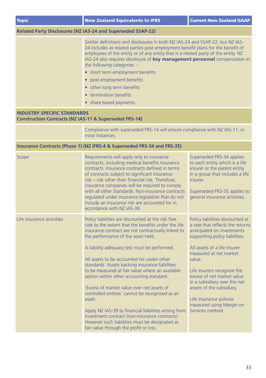| <b>Topic</b>                                                                                            | <b>New Zealand Equivalents to IFRS</b>                                                                                                                                                                                                                                                                                                                                                                                                                                                                                                                                                                                                                                                                                                                                  | <b>Current New Zealand GAAP</b>                                                                                                                                                                                                                                                                                                                                                                               |  |  |
|---------------------------------------------------------------------------------------------------------|-------------------------------------------------------------------------------------------------------------------------------------------------------------------------------------------------------------------------------------------------------------------------------------------------------------------------------------------------------------------------------------------------------------------------------------------------------------------------------------------------------------------------------------------------------------------------------------------------------------------------------------------------------------------------------------------------------------------------------------------------------------------------|---------------------------------------------------------------------------------------------------------------------------------------------------------------------------------------------------------------------------------------------------------------------------------------------------------------------------------------------------------------------------------------------------------------|--|--|
| Related Party Disclosures (NZ IAS-24 and Superseded SSAP-22)                                            |                                                                                                                                                                                                                                                                                                                                                                                                                                                                                                                                                                                                                                                                                                                                                                         |                                                                                                                                                                                                                                                                                                                                                                                                               |  |  |
|                                                                                                         | Similar definitions and disclosures in both NZ IAS-24 and SSAP-22, but NZ IAS-<br>24 includes as related parties post employment benefit plans for the benefit of<br>employees of the entity or of any entity that is a related party of the entity. NZ<br>IAS-24 also requires disclosure of key management personnel compensation in<br>the following categories: -<br>• short term employment benefits<br>post employment benefits<br>other long term benefits<br>termination benefits<br>share based payments.                                                                                                                                                                                                                                                      |                                                                                                                                                                                                                                                                                                                                                                                                               |  |  |
| <b>INDUSTRY SPECIFIC STANDARDS</b><br><b>Construction Contracts (NZ IAS-11 &amp; Superseded FRS-14)</b> |                                                                                                                                                                                                                                                                                                                                                                                                                                                                                                                                                                                                                                                                                                                                                                         |                                                                                                                                                                                                                                                                                                                                                                                                               |  |  |
|                                                                                                         | Compliance with superseded FRS-14 will ensure compliance with NZ IAS-11, in<br>most instances.                                                                                                                                                                                                                                                                                                                                                                                                                                                                                                                                                                                                                                                                          |                                                                                                                                                                                                                                                                                                                                                                                                               |  |  |
|                                                                                                         | Insurance Contracts (Phase 1) (NZ IFRS-4 & Superseded FRS-34 and FRS-35)                                                                                                                                                                                                                                                                                                                                                                                                                                                                                                                                                                                                                                                                                                |                                                                                                                                                                                                                                                                                                                                                                                                               |  |  |
| Scope                                                                                                   | Requirements will apply only to insurance<br>contracts, including medical benefits insurance<br>contracts. Insurance contracts defined in terms<br>of contracts subject to significant insurance<br>risk - risk other than financial risk. Therefore,<br>insurance companies will be required to comply<br>with all other Standards. Non-insurance contracts<br>regulated under insurance legislation that do not<br>include an insurance risk are accounted for in<br>accordance with NZ IAS-39.                                                                                                                                                                                                                                                                       | Superseded FRS-34 applies<br>to each entity which is a life<br>insurer or the parent entity<br>in a group that includes a life<br>insurer.<br>Superseded FRS-35 applies to<br>general insurance activities.                                                                                                                                                                                                   |  |  |
| Life insurance activities                                                                               | Policy liabilities are discounted at the risk free<br>rate to the extent that the benefits under the life<br>insurance contract are not contractually linked to<br>the performance of the asset held.<br>A liability adequacy test must be performed.<br>All assets to be accounted for under other<br>standards. Assets backing insurance liabilities<br>to be measured at fair value where an available<br>option within other accounting standard.<br>'Excess of market value over net assets of<br>controlled entities' cannot be recognised as an<br>asset.<br>Apply NZ IAS-39 to financial liabilities arising from<br>investment contract (non-insurance contracts).<br>However such liabilities must be designated as<br>fair value through the profit or loss. | Policy liabilities discounted at<br>a rate that reflects the returns<br>anticipated on investments<br>supporting policy liabilities.<br>All assets of a life insurer<br>measured at net market<br>value.<br>Life insurers recognise the<br>excess of net market value<br>in a subsidiary over the net<br>assets of the subsidiary.<br>Life insurance policies<br>measured using Margin on<br>Services method. |  |  |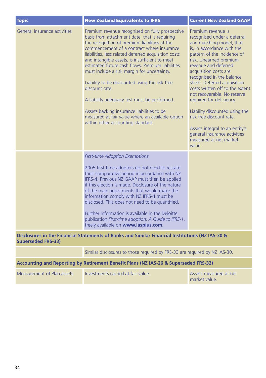| <b>Topic</b>                                                                                                                  | <b>New Zealand Equivalents to IFRS</b>                                                                                                                                                                                                                                                                                                                                                                                                                                                                                                                                                                                                                                  | <b>Current New Zealand GAAP</b>                                                                                                                                                                                                                                                                                                                                                                                                                                                                                                                     |  |
|-------------------------------------------------------------------------------------------------------------------------------|-------------------------------------------------------------------------------------------------------------------------------------------------------------------------------------------------------------------------------------------------------------------------------------------------------------------------------------------------------------------------------------------------------------------------------------------------------------------------------------------------------------------------------------------------------------------------------------------------------------------------------------------------------------------------|-----------------------------------------------------------------------------------------------------------------------------------------------------------------------------------------------------------------------------------------------------------------------------------------------------------------------------------------------------------------------------------------------------------------------------------------------------------------------------------------------------------------------------------------------------|--|
| General insurance activities                                                                                                  | Premium revenue recognised on fully prospective<br>basis from attachment date, that is requiring<br>the recognition of premium liabilities at the<br>commencement of a contract where insurance<br>liabilities, less related deferred acquisition costs<br>and intangible assets, is insufficient to meet<br>estimated future cash flows. Premium liabilities<br>must include a risk margin for uncertainty.<br>Liability to be discounted using the risk free<br>discount rate.<br>A liability adequacy test must be performed.<br>Assets backing insurance liabilities to be<br>measured at fair value where an available option<br>within other accounting standard. | Premium revenue is<br>recognised under a deferral<br>and matching model, that<br>is, in accordance with the<br>pattern of the incidence of<br>risk. Unearned premium<br>revenue and deferred<br>acquisition costs are<br>recognised in the balance<br>sheet. Deferred acquisition<br>costs written off to the extent<br>not recoverable. No reserve<br>required for deficiency.<br>Liability discounted using the<br>risk free discount rate.<br>Assets integral to an entity's<br>general insurance activities<br>measured at net market<br>value. |  |
|                                                                                                                               | <b>First-time Adoption Exemptions</b><br>2005 first time adopters do not need to restate<br>their comparative period in accordance with NZ<br>IFRS-4. Previous NZ GAAP must then be applied<br>if this election is made. Disclosure of the nature<br>of the main adjustments that would make the<br>information comply with NZ IFRS-4 must be<br>disclosed. This does not need to be quantified.<br>Further information is available in the Deloitte<br>publication First-time adoption: A Guide to IFRS-1,<br>freely available on www.iasplus.com.                                                                                                                     |                                                                                                                                                                                                                                                                                                                                                                                                                                                                                                                                                     |  |
| Disclosures in the Financial Statements of Banks and Similar Financial Institutions (NZ IAS-30 &<br><b>Superseded FRS-33)</b> |                                                                                                                                                                                                                                                                                                                                                                                                                                                                                                                                                                                                                                                                         |                                                                                                                                                                                                                                                                                                                                                                                                                                                                                                                                                     |  |
|                                                                                                                               | Similar disclosures to those required by FRS-33 are required by NZ IAS-30.                                                                                                                                                                                                                                                                                                                                                                                                                                                                                                                                                                                              |                                                                                                                                                                                                                                                                                                                                                                                                                                                                                                                                                     |  |

### Accounting and Reporting by Retirement Benefit Plans (NZ IAS-26 & Superseded FRS-32)

| Measurement of Plan assets | Investments carried at fair value. | Assets measured at net |
|----------------------------|------------------------------------|------------------------|
|                            |                                    | market value.          |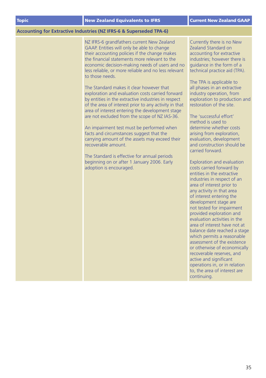#### **Accounting for Extractive Industries (NZ IFRS-6 & Superseded TPA-6)**

NZ IFRS-6 grandfathers current New Zealand GAAP. Entities will only be able to change their accounting policies if the change makes the financial statements more relevant to the economic decision-making needs of users and no less reliable, or more reliable and no less relevant to those needs.

The Standard makes it clear however that exploration and evaluation costs carried forward by entities in the extractive industries in respect of the area of interest prior to any activity in that area of interest entering the development stage are not excluded from the scope of NZ IAS-36.

An impairment test must be performed when facts and circumstances suggest that the carrying amount of the assets may exceed their recoverable amount.

The Standard is effective for annual periods beginning on or after 1 January 2006. Early adoption is encouraged.

Currently there is no New Zealand Standard on accounting for extractive industries; however there is guidance in the form of a technical practice aid (TPA).

The TPA is applicable to all phases in an extractive industry operation, from exploration to production and restoration of the site.

The 'successful effort' method is used to determine whether costs arising from exploration, evaluation, development and construction should be carried forward.

Exploration and evaluation costs carried forward by entities in the extractive industries in respect of an area of interest prior to any activity in that area of interest entering the development stage are not tested for impairment provided exploration and evaluation activities in the area of interest have not at balance date reached a stage which permits a reasonable assessment of the existence or otherwise of economically recoverable reserves, and active and significant operations in, or in relation to, the area of interest are continuing.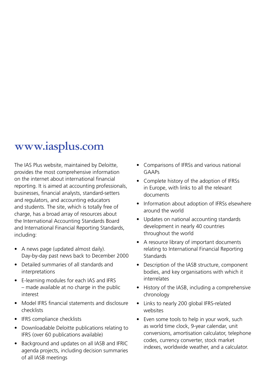### **www.iasplus.com**

The IAS Plus website, maintained by Deloitte, provides the most comprehensive information on the internet about international financial reporting. It is aimed at accounting professionals, businesses, financial analysts, standard-setters and regulators, and accounting educators and students. The site, which is totally free of charge, has a broad array of resources about the International Accounting Standards Board and International Financial Reporting Standards, including:

- A news page (updated almost daily). Day-by-day past news back to December 2000
- Detailed summaries of all standards and interpretations
- E-learning modules for each IAS and IFRS – made available at no charge in the public interest
- Model IFRS financial statements and disclosure checklists
- IFRS compliance checklists
- Downloadable Deloitte publications relating to IFRS (over 60 publications available)
- Background and updates on all IASB and IFRIC agenda projects, including decision summaries of all IASB meetings
- Comparisons of IFRSs and various national  $G\Delta\Delta Ps$
- Complete history of the adoption of IFRSs in Europe, with links to all the relevant documents
- Information about adoption of IFRSs elsewhere around the world
- Updates on national accounting standards development in nearly 40 countries throughout the world
- A resource library of important documents relating to International Financial Reporting Standards
- Description of the IASB structure, component bodies, and key organisations with which it interrelates
- History of the IASB, including a comprehensive chronology
- Links to nearly 200 global IFRS-related websites
- Even some tools to help in your work, such as world time clock, 9-year calendar, unit conversions, amortisation calculator, telephone codes, currency converter, stock market indexes, worldwide weather, and a calculator.